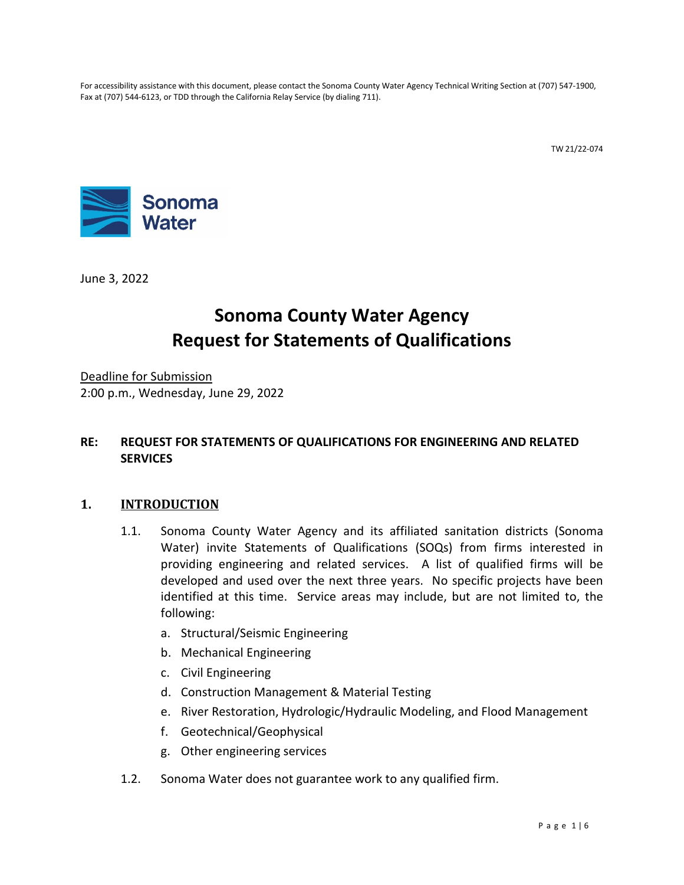For accessibility assistance with this document, please contact the Sonoma County Water Agency Technical Writing Section at (707) 547-1900, Fax at (707) 544-6123, or TDD through the California Relay Service (by dialing 711).

TW 21/22-074



June 3, 2022

# **Sonoma County Water Agency Request for Statements of Qualifications**

Deadline for Submission 2:00 p.m., Wednesday, June 29, 2022

#### **RE: REQUEST FOR STATEMENTS OF QUALIFICATIONS FOR ENGINEERING AND RELATED SERVICES**

#### **1. INTRODUCTION**

- 1.1. Sonoma County Water Agency and its affiliated sanitation districts (Sonoma Water) invite Statements of Qualifications (SOQs) from firms interested in providing engineering and related services. A list of qualified firms will be developed and used over the next three years. No specific projects have been identified at this time. Service areas may include, but are not limited to, the following:
	- a. Structural/Seismic Engineering
	- b. Mechanical Engineering
	- c. Civil Engineering
	- d. Construction Management & Material Testing
	- e. River Restoration, Hydrologic/Hydraulic Modeling, and Flood Management
	- f. Geotechnical/Geophysical
	- g. Other engineering services
- 1.2. Sonoma Water does not guarantee work to any qualified firm.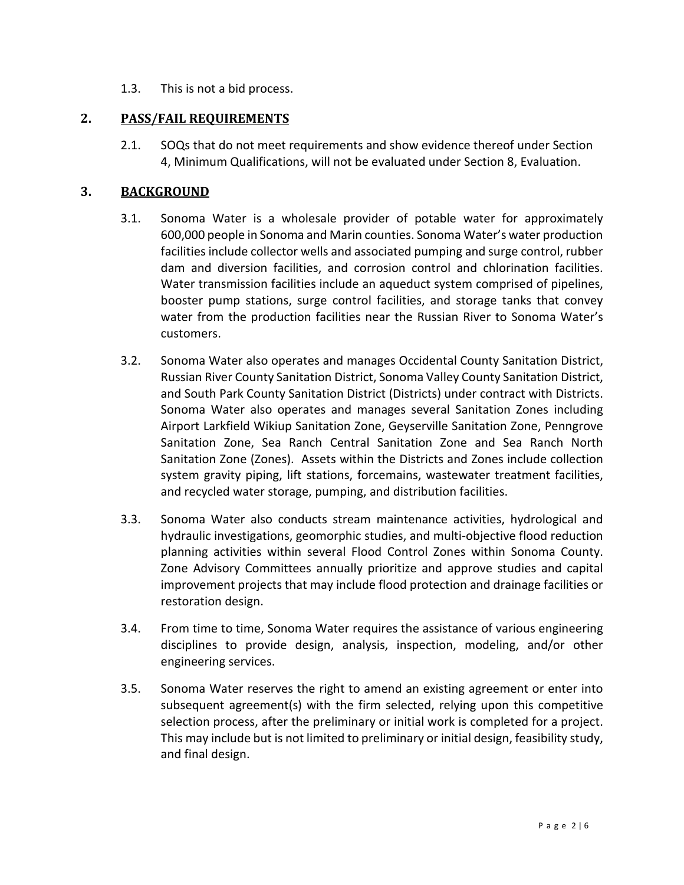1.3. This is not a bid process.

#### **2. PASS/FAIL REQUIREMENTS**

2.1. SOQs that do not meet requirements and show evidence thereof under Section [4,](#page-2-0) Minimum Qualifications, will not be evaluated under Section [8,](#page-4-0) Evaluation.

#### **3. BACKGROUND**

- 3.1. Sonoma Water is a wholesale provider of potable water for approximately 600,000 people in Sonoma and Marin counties. Sonoma Water's water production facilities include collector wells and associated pumping and surge control, rubber dam and diversion facilities, and corrosion control and chlorination facilities. Water transmission facilities include an aqueduct system comprised of pipelines, booster pump stations, surge control facilities, and storage tanks that convey water from the production facilities near the Russian River to Sonoma Water's customers.
- 3.2. Sonoma Water also operates and manages Occidental County Sanitation District, Russian River County Sanitation District, Sonoma Valley County Sanitation District, and South Park County Sanitation District (Districts) under contract with Districts. Sonoma Water also operates and manages several Sanitation Zones including Airport Larkfield Wikiup Sanitation Zone, Geyserville Sanitation Zone, Penngrove Sanitation Zone, Sea Ranch Central Sanitation Zone and Sea Ranch North Sanitation Zone (Zones). Assets within the Districts and Zones include collection system gravity piping, lift stations, forcemains, wastewater treatment facilities, and recycled water storage, pumping, and distribution facilities.
- 3.3. Sonoma Water also conducts stream maintenance activities, hydrological and hydraulic investigations, geomorphic studies, and multi-objective flood reduction planning activities within several Flood Control Zones within Sonoma County. Zone Advisory Committees annually prioritize and approve studies and capital improvement projects that may include flood protection and drainage facilities or restoration design.
- 3.4. From time to time, Sonoma Water requires the assistance of various engineering disciplines to provide design, analysis, inspection, modeling, and/or other engineering services.
- 3.5. Sonoma Water reserves the right to amend an existing agreement or enter into subsequent agreement(s) with the firm selected, relying upon this competitive selection process, after the preliminary or initial work is completed for a project. This may include but is not limited to preliminary or initial design, feasibility study, and final design.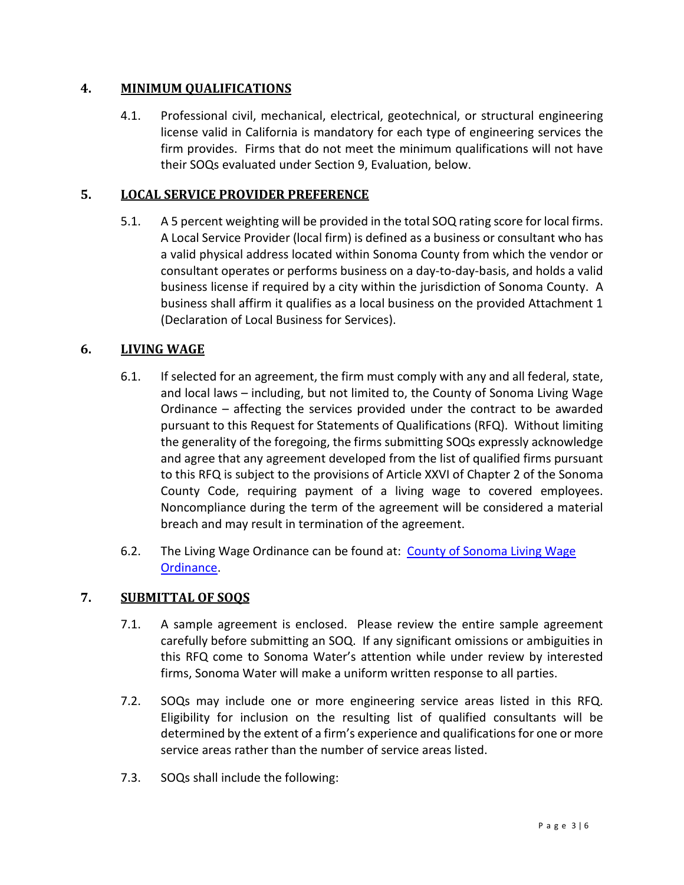## <span id="page-2-0"></span>**4. MINIMUM QUALIFICATIONS**

4.1. Professional civil, mechanical, electrical, geotechnical, or structural engineering license valid in California is mandatory for each type of engineering services the firm provides. Firms that do not meet the minimum qualifications will not have their SOQs evaluated under Section 9, Evaluation, below.

## **5. LOCAL SERVICE PROVIDER PREFERENCE**

5.1. A 5 percent weighting will be provided in the total SOQ rating score for local firms. A Local Service Provider (local firm) is defined as a business or consultant who has a valid physical address located within Sonoma County from which the vendor or consultant operates or performs business on a day-to-day-basis, and holds a valid business license if required by a city within the jurisdiction of Sonoma County. A business shall affirm it qualifies as a local business on the provided Attachment 1 (Declaration of Local Business for Services).

## **6. LIVING WAGE**

- 6.1. If selected for an agreement, the firm must comply with any and all federal, state, and local laws – including, but not limited to, the County of Sonoma Living Wage Ordinance – affecting the services provided under the contract to be awarded pursuant to this Request for Statements of Qualifications (RFQ). Without limiting the generality of the foregoing, the firms submitting SOQs expressly acknowledge and agree that any agreement developed from the list of qualified firms pursuant to this RFQ is subject to the provisions of Article XXVI of Chapter 2 of the Sonoma County Code, requiring payment of a living wage to covered employees. Noncompliance during the term of the agreement will be considered a material breach and may result in termination of the agreement.
- 6.2. The Living Wage Ordinance can be found at: County of Sonoma Living Wage [Ordinance.](https://sonomacounty.ca.gov/_templates_portal/Service.aspx?id=2147520128)

## **7. SUBMITTAL OF SOQS**

- 7.1. A sample agreement is enclosed. Please review the entire sample agreement carefully before submitting an SOQ. If any significant omissions or ambiguities in this RFQ come to Sonoma Water's attention while under review by interested firms, Sonoma Water will make a uniform written response to all parties.
- 7.2. SOQs may include one or more engineering service areas listed in this RFQ. Eligibility for inclusion on the resulting list of qualified consultants will be determined by the extent of a firm's experience and qualifications for one or more service areas rather than the number of service areas listed.
- 7.3. SOQs shall include the following: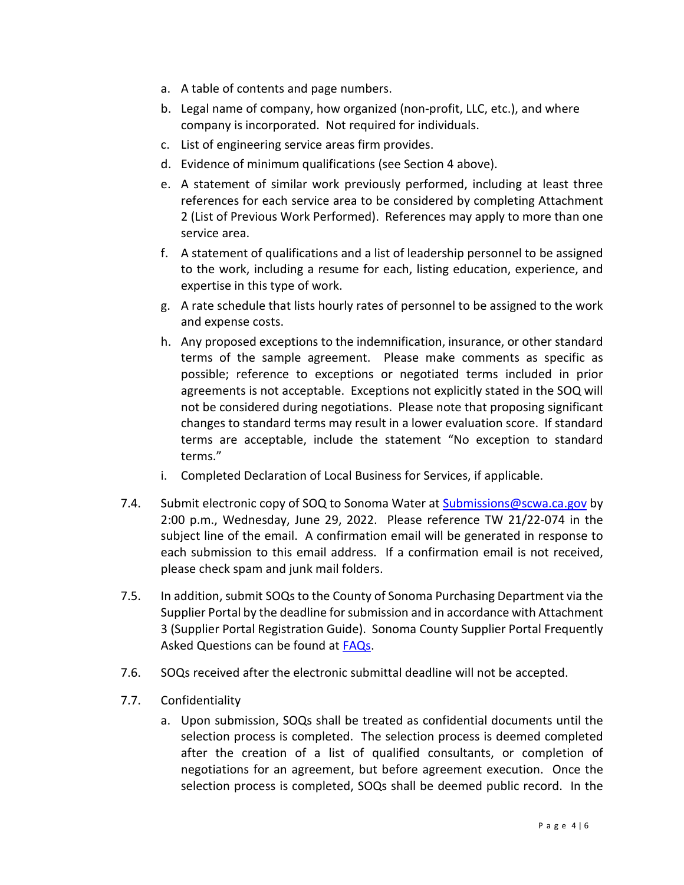- <span id="page-3-0"></span>a. A table of contents and page numbers.
- <span id="page-3-1"></span>b. Legal name of company, how organized (non-profit, LLC, etc.), and where company is incorporated. Not required for individuals.
- c. List of engineering service areas firm provides.
- d. Evidence of minimum qualifications (see Section [4](#page-2-0) above).
- <span id="page-3-2"></span>e. A statement of similar work previously performed, including at least three references for each service area to be considered by completing Attachment 2 (List of Previous Work Performed). References may apply to more than one service area.
- f. A statement of qualifications and a list of leadership personnel to be assigned to the work, including a resume for each, listing education, experience, and expertise in this type of work.
- <span id="page-3-5"></span>g. A rate schedule that lists hourly rates of personnel to be assigned to the work and expense costs.
- <span id="page-3-3"></span>h. Any proposed exceptions to the indemnification, insurance, or other standard terms of the sample agreement. Please make comments as specific as possible; reference to exceptions or negotiated terms included in prior agreements is not acceptable. Exceptions not explicitly stated in the SOQ will not be considered during negotiations. Please note that proposing significant changes to standard terms may result in a lower evaluation score. If standard terms are acceptable, include the statement "No exception to standard terms."
- i. Completed Declaration of Local Business for Services, if applicable.
- <span id="page-3-4"></span>7.4. Submit electronic copy of SOQ to Sonoma Water at [Submissions@scwa.ca.gov](mailto:Submissions@scwa.ca.gov) by 2:00 p.m., Wednesday, June 29, 2022. Please reference TW 21/22-074 in the subject line of the email. A confirmation email will be generated in response to each submission to this email address. If a confirmation email is not received, please check spam and junk mail folders.
- 7.5. In addition, submit SOQsto the County of Sonoma Purchasing Department via the Supplier Portal by the deadline for submission and in accordance with Attachment 3 (Supplier Portal Registration Guide). Sonoma County Supplier Portal Frequently Asked Questions can be found at [FAQs.](https://sonomacounty.ca.gov/General-Services/Purchasing/Doing-Business-with-the-County/Frequently-Asked-Questions/)
- 7.6. SOQs received after the electronic submittal deadline will not be accepted.
- 7.7. Confidentiality
	- a. Upon submission, SOQs shall be treated as confidential documents until the selection process is completed. The selection process is deemed completed after the creation of a list of qualified consultants, or completion of negotiations for an agreement, but before agreement execution. Once the selection process is completed, SOQs shall be deemed public record. In the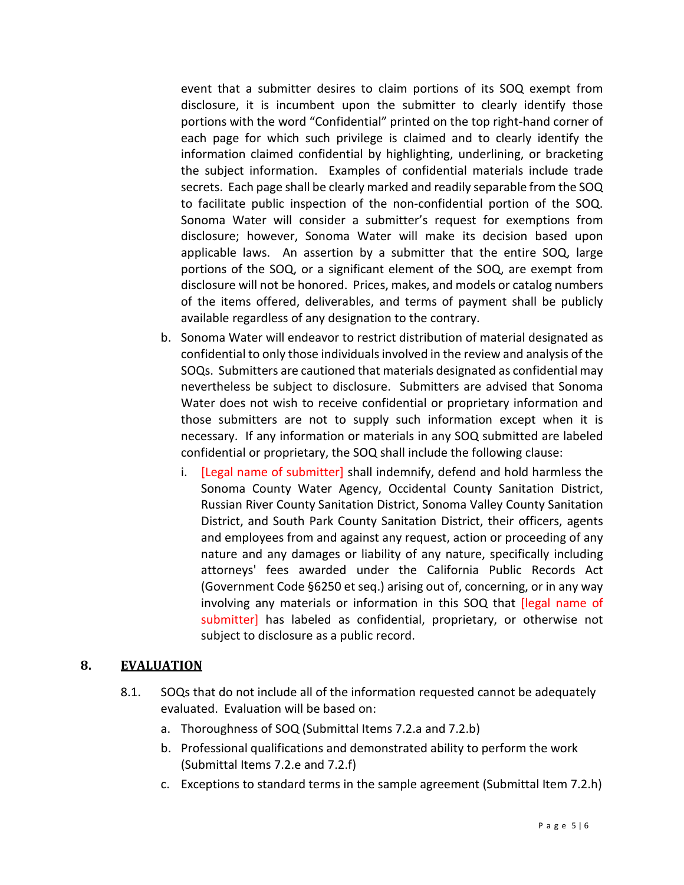event that a submitter desires to claim portions of its SOQ exempt from disclosure, it is incumbent upon the submitter to clearly identify those portions with the word "Confidential" printed on the top right-hand corner of each page for which such privilege is claimed and to clearly identify the information claimed confidential by highlighting, underlining, or bracketing the subject information. Examples of confidential materials include trade secrets. Each page shall be clearly marked and readily separable from the SOQ to facilitate public inspection of the non-confidential portion of the SOQ. Sonoma Water will consider a submitter's request for exemptions from disclosure; however, Sonoma Water will make its decision based upon applicable laws. An assertion by a submitter that the entire SOQ, large portions of the SOQ, or a significant element of the SOQ, are exempt from disclosure will not be honored. Prices, makes, and models or catalog numbers of the items offered, deliverables, and terms of payment shall be publicly available regardless of any designation to the contrary.

- b. Sonoma Water will endeavor to restrict distribution of material designated as confidential to only those individuals involved in the review and analysis of the SOQs. Submitters are cautioned that materials designated as confidential may nevertheless be subject to disclosure. Submitters are advised that Sonoma Water does not wish to receive confidential or proprietary information and those submitters are not to supply such information except when it is necessary. If any information or materials in any SOQ submitted are labeled confidential or proprietary, the SOQ shall include the following clause:
	- i. [Legal name of submitter] shall indemnify, defend and hold harmless the Sonoma County Water Agency, Occidental County Sanitation District, Russian River County Sanitation District, Sonoma Valley County Sanitation District, and South Park County Sanitation District, their officers, agents and employees from and against any request, action or proceeding of any nature and any damages or liability of any nature, specifically including attorneys' fees awarded under the California Public Records Act (Government Code §6250 et seq.) arising out of, concerning, or in any way involving any materials or information in this SOQ that [legal name of submitter] has labeled as confidential, proprietary, or otherwise not subject to disclosure as a public record.

#### <span id="page-4-0"></span>**8. EVALUATION**

- 8.1. SOQs that do not include all of the information requested cannot be adequately evaluated. Evaluation will be based on:
	- a. Thoroughness of SOQ (Submittal Items [7.2.a](#page-3-0) an[d 7.2.b\)](#page-3-1)
	- b. Professional qualifications and demonstrated ability to perform the work (Submittal Items 7.2.e and [7.2.f\)](#page-3-2)
	- c. Exceptions to standard terms in the sample agreement (Submittal Item [7.2.h\)](#page-3-3)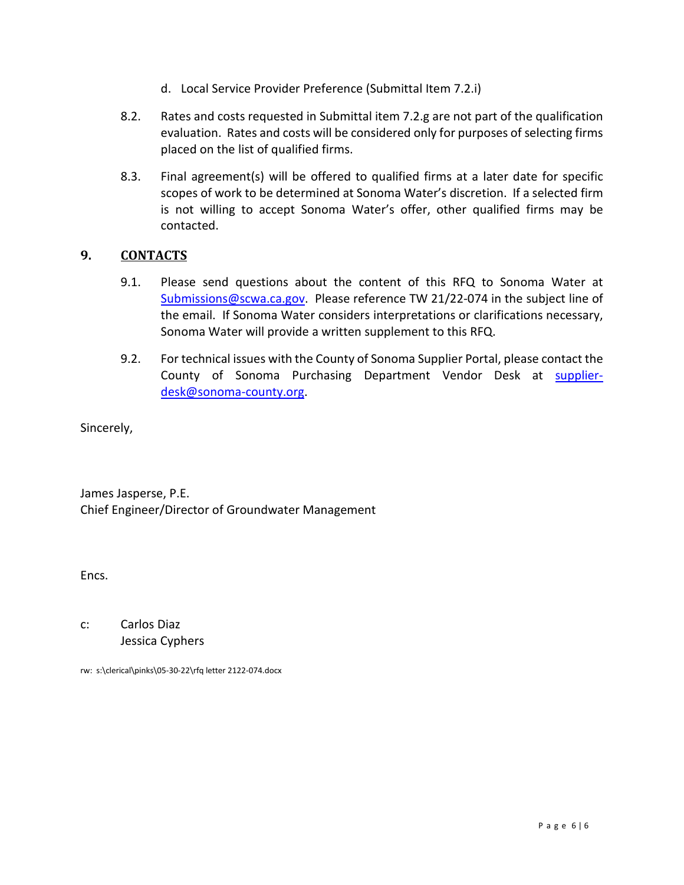- d. Local Service Provider Preference (Submittal Item [7.2.i\)](#page-3-4)
- 8.2. Rates and costs requested in Submittal ite[m 7.2.g](#page-3-5) are not part of the qualification evaluation. Rates and costs will be considered only for purposes of selecting firms placed on the list of qualified firms.
- 8.3. Final agreement(s) will be offered to qualified firms at a later date for specific scopes of work to be determined at Sonoma Water's discretion. If a selected firm is not willing to accept Sonoma Water's offer, other qualified firms may be contacted.

#### **9. CONTACTS**

- 9.1. Please send questions about the content of this RFQ to Sonoma Water at [Submissions@scwa.ca.gov.](mailto:Submissions@scwa.ca.gov) Please reference TW 21/22-074 in the subject line of the email. If Sonoma Water considers interpretations or clarifications necessary, Sonoma Water will provide a written supplement to this RFQ.
- 9.2. For technical issues with the County of Sonoma Supplier Portal, please contact the County of Sonoma Purchasing Department Vendor Desk at [supplier](mailto:supplier-desk@sonoma-county.org)[desk@sonoma-county.org.](mailto:supplier-desk@sonoma-county.org)

Sincerely,

James Jasperse, P.E. Chief Engineer/Director of Groundwater Management

Encs.

c: Carlos Diaz Jessica Cyphers

rw: s:\clerical\pinks\05-30-22\rfq letter 2122-074.docx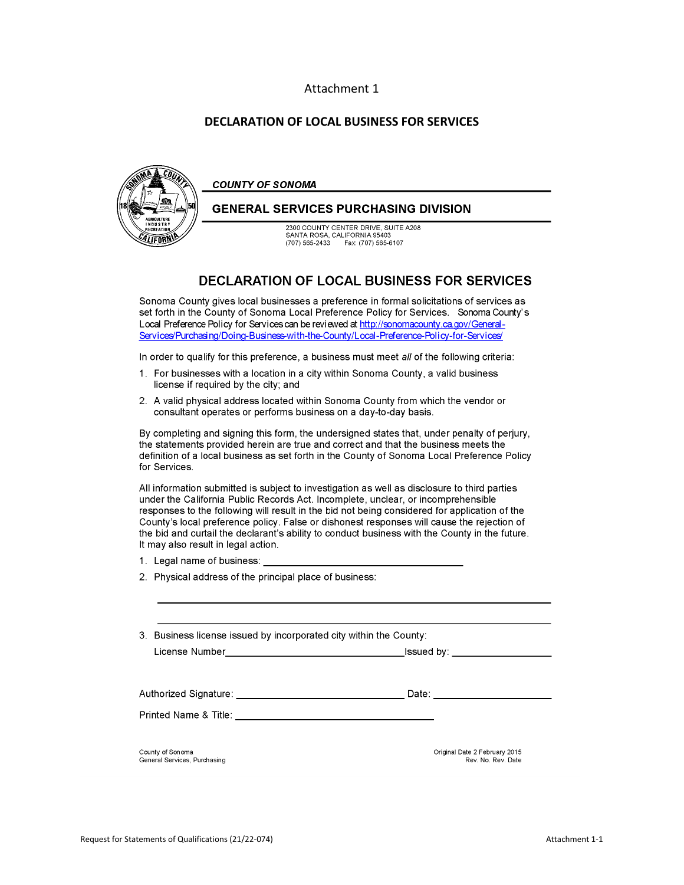#### Attachment 1

#### **DECLARATION OF LOCAL BUSINESS FOR SERVICES**



#### **DECLARATION OF LOCAL BUSINESS FOR SERVICES**

Sonoma County gives local businesses a preference in formal solicitations of services as set forth in the County of Sonoma Local Preference Policy for Services. Sonoma County's Local Preference Policy for Services can be reviewed at http://sonomacounty.ca.gov/General-Services/Purchasing/Doing-Business-with-the-County/Local-Preference-Policy-for-Services/

In order to qualify for this preference, a business must meet all of the following criteria:

- 1. For businesses with a location in a city within Sonoma County, a valid business license if required by the city; and
- 2. A valid physical address located within Sonoma County from which the vendor or consultant operates or performs business on a day-to-day basis.

By completing and signing this form, the undersigned states that, under penalty of perjury, the statements provided herein are true and correct and that the business meets the definition of a local business as set forth in the County of Sonoma Local Preference Policy for Services.

All information submitted is subject to investigation as well as disclosure to third parties under the California Public Records Act. Incomplete, unclear, or incomprehensible responses to the following will result in the bid not being considered for application of the County's local preference policy. False or dishonest responses will cause the rejection of the bid and curtail the declarant's ability to conduct business with the County in the future. It may also result in legal action.

- 1. Legal name of business:
- 2. Physical address of the principal place of business:

|  |  |  | 3. Business license issued by incorporated city within the County: |  |  |
|--|--|--|--------------------------------------------------------------------|--|--|
|--|--|--|--------------------------------------------------------------------|--|--|

License Number

 $I$ ssued by:  $\overline{\phantom{a} \phantom{a}}$ 

Printed Name & Title: \_\_\_\_\_

County of Sonoma General Services, Purchasing Original Date 2 February 2015 Rev. No. Rev. Date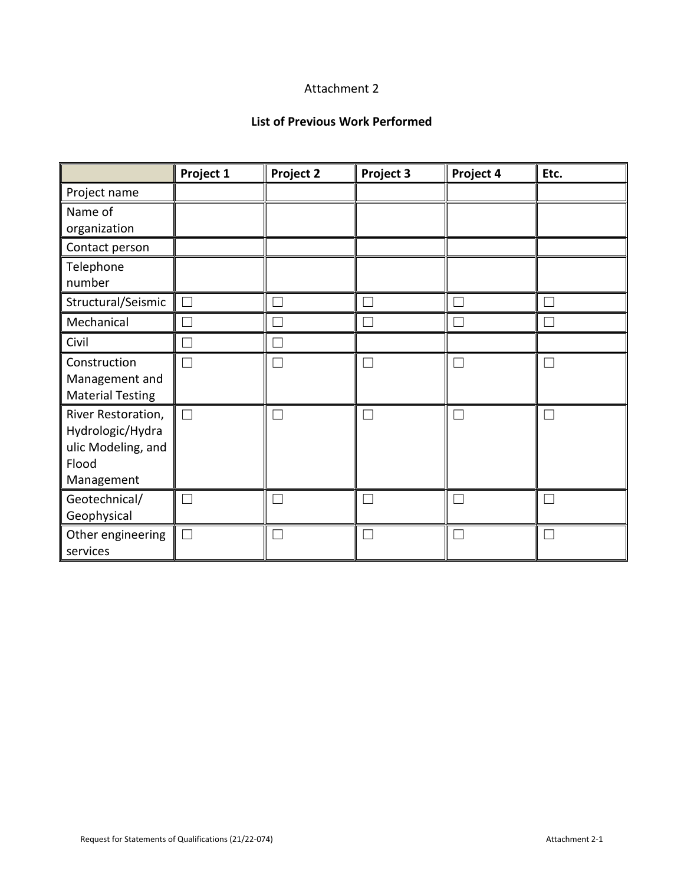## Attachment 2

#### **List of Previous Work Performed**

|                                                                                     | Project 1 | Project 2                | Project 3 | Project 4    | Etc.   |
|-------------------------------------------------------------------------------------|-----------|--------------------------|-----------|--------------|--------|
| Project name                                                                        |           |                          |           |              |        |
| Name of<br>organization                                                             |           |                          |           |              |        |
| Contact person                                                                      |           |                          |           |              |        |
| Telephone<br>number                                                                 |           |                          |           |              |        |
| Structural/Seismic                                                                  |           |                          |           | $\Box$       | $\Box$ |
| Mechanical                                                                          |           | $\Box$                   |           | $\Box$       | П      |
| Civil                                                                               |           |                          |           |              |        |
| Construction<br>Management and<br><b>Material Testing</b>                           |           | $\overline{\phantom{a}}$ | $\Box$    | $\Box$       | $\Box$ |
| River Restoration,<br>Hydrologic/Hydra<br>ulic Modeling, and<br>Flood<br>Management |           |                          |           | ∟            |        |
| Geotechnical/<br>Geophysical                                                        |           | $\mathbf{I}$             |           | $\mathbf{I}$ | $\Box$ |
| Other engineering<br>services                                                       |           | Г                        |           | $\Box$       | $\Box$ |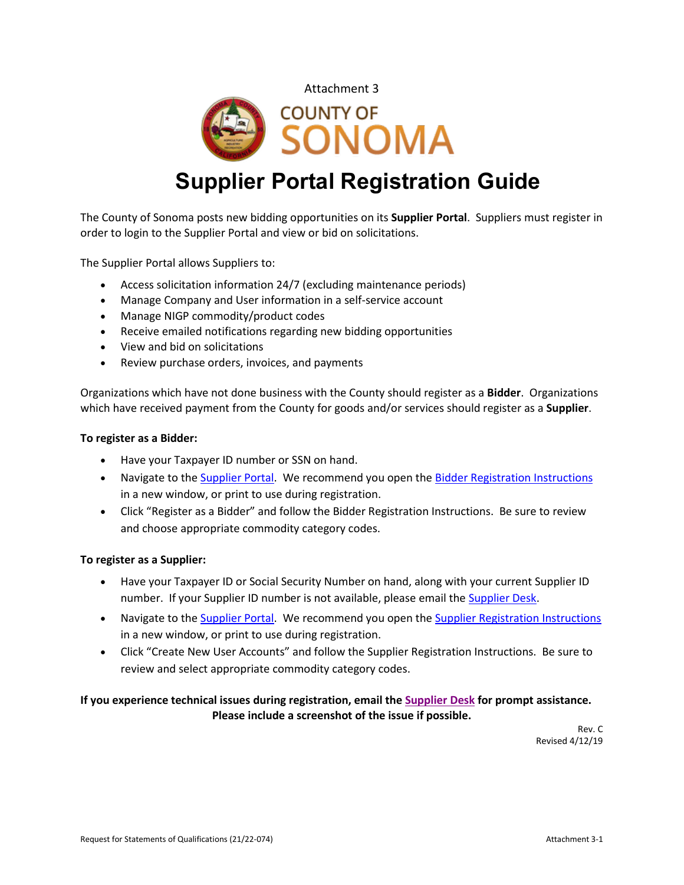



# **Supplier Portal Registration Guide**

The County of Sonoma posts new bidding opportunities on its **Supplier Portal**. Suppliers must register in order to login to the Supplier Portal and view or bid on solicitations.

The Supplier Portal allows Suppliers to:

- Access solicitation information 24/7 (excluding maintenance periods)
- Manage Company and User information in a self-service account
- Manage NIGP commodity/product codes
- Receive emailed notifications regarding new bidding opportunities
- View and bid on solicitations
- Review purchase orders, invoices, and payments

Organizations which have not done business with the County should register as a **Bidder**. Organizations which have received payment from the County for goods and/or services should register as a **Supplier**.

#### **To register as a Bidder:**

- Have your Taxpayer ID number or SSN on hand.
- Navigate to the [Supplier Portal.](https://esupplier.sonomacounty.ca.gov/) We recommend you open the [Bidder Registration](https://esupplier.sonomacounty.ca.gov/SonomaPortalDocs/Training/BidderRegistrationInstructionsADA.pdf) [Instructions](https://esupplier.sonomacounty.ca.gov/SonomaPortalDocs/Training/BidderRegistrationInstructionsADA.pdf) in a new window, or print to use during registration.
- Click "Register as a Bidder" and follow the Bidder Registration Instructions. Be sure to review and choose appropriate commodity category codes.

#### **To register as a Supplier:**

- Have your Taxpayer ID or Social Security Number on hand, along with your current Supplier ID number. If your Supplier ID number is not available, please email the [Supplier Desk.](mailto:supplier-desk@sonoma-county.org)
- Navigate to the [Supplier Portal.](https://esupplier.sonomacounty.ca.gov/) We recommend you open the [Supplier Registration](https://esupplier.sonomacounty.ca.gov/SonomaPortalDocs/Training/SupplierRegistrationInstructionsADA.pdf) [Instructions](https://esupplier.sonomacounty.ca.gov/SonomaPortalDocs/Training/SupplierRegistrationInstructionsADA.pdf) in a new window, or print to use during registration.
- Click "Create New User Accounts" and follow the Supplier Registration Instructions. Be sure to review and select appropriate commodity category codes.

#### **If you experience technical issues during registration, email th[e Supplier Desk](mailto:supplier-desk@sonoma-county.org) for prompt assistance. Please include a screenshot of the issue if possible.**

Rev. C Revised 4/12/19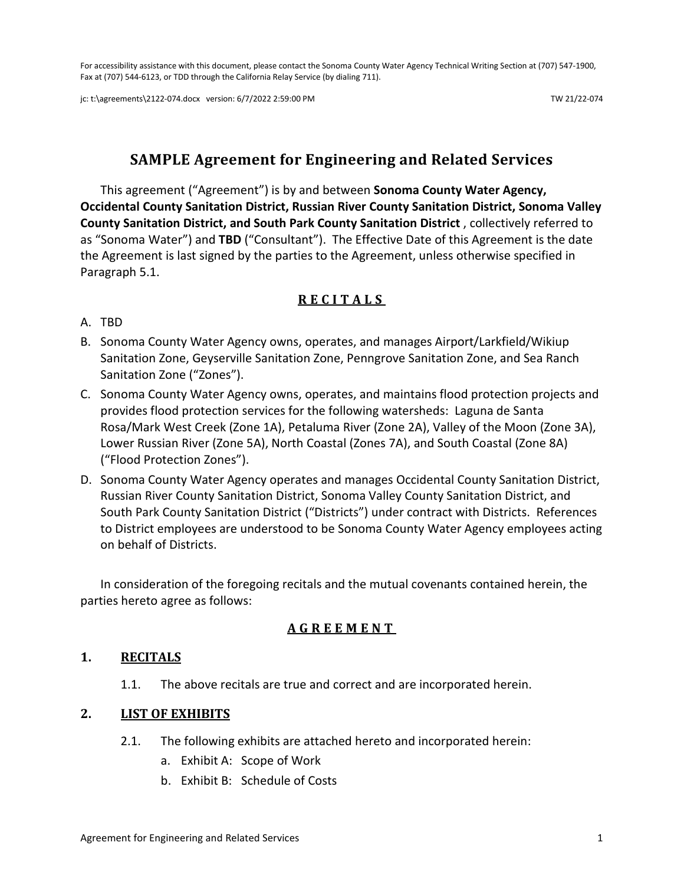For accessibility assistance with this document, please contact the Sonoma County Water Agency Technical Writing Section at (707) 547-1900, Fax at (707) 544-6123, or TDD through the California Relay Service (by dialing 711).

jc: t:\agreements\2122-074.docx version: 6/7/2022 2:59:00 PM TW 21/22-074

## **SAMPLE Agreement for Engineering and Related Services**

This agreement ("Agreement") is by and between **Sonoma County Water Agency, Occidental County Sanitation District, Russian River County Sanitation District, Sonoma Valley County Sanitation District, and South Park County Sanitation District** , collectively referred to as "Sonoma Water") and **TBD** ("Consultant"). The Effective Date of this Agreement is the date the Agreement is last signed by the parties to the Agreement, unless otherwise specified in Paragraph [5.1.](#page-12-0)

#### **RECITALS**

#### A. TBD

- <span id="page-9-0"></span>B. Sonoma County Water Agency owns, operates, and manages Airport/Larkfield/Wikiup Sanitation Zone, Geyserville Sanitation Zone, Penngrove Sanitation Zone, and Sea Ranch Sanitation Zone ("Zones").
- <span id="page-9-1"></span>C. Sonoma County Water Agency owns, operates, and maintains flood protection projects and provides flood protection services for the following watersheds: Laguna de Santa Rosa/Mark West Creek (Zone 1A), Petaluma River (Zone 2A), Valley of the Moon (Zone 3A), Lower Russian River (Zone 5A), North Coastal (Zones 7A), and South Coastal (Zone 8A) ("Flood Protection Zones").
- D. Sonoma County Water Agency operates and manages Occidental County Sanitation District, Russian River County Sanitation District, Sonoma Valley County Sanitation District, and South Park County Sanitation District ("Districts") under contract with Districts. References to District employees are understood to be Sonoma County Water Agency employees acting on behalf of Districts.

In consideration of the foregoing recitals and the mutual covenants contained herein, the parties hereto agree as follows:

#### **AGREEMENT**

#### **1. RECITALS**

1.1. The above recitals are true and correct and are incorporated herein.

#### **2. LIST OF EXHIBITS**

- 2.1. The following exhibits are attached hereto and incorporated herein:
	- a. Exhibit A: Scope of Work
	- b. Exhibit B: Schedule of Costs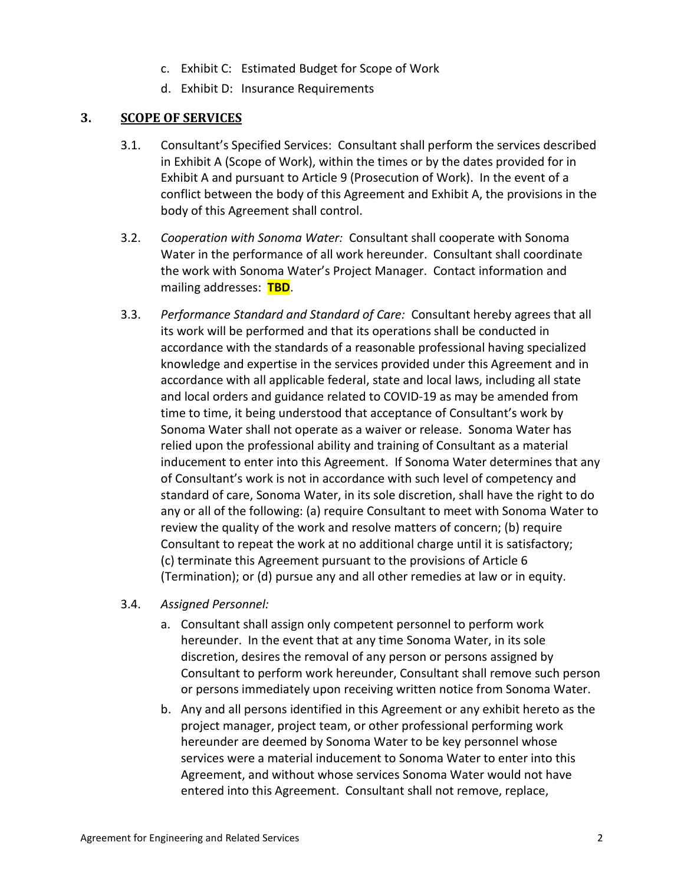- c. Exhibit C: Estimated Budget for Scope of Work
- d. Exhibit D: Insurance Requirements

## **3. SCOPE OF SERVICES**

- 3.1. Consultant's Specified Services: Consultant shall perform the services described in Exhibit A (Scope of Work), within the times or by the dates provided for in Exhibit A and pursuant to Article [9](#page-14-0) [\(Prosecution of Work\)](#page-14-0). In the event of a conflict between the body of this Agreement and Exhibit A, the provisions in the body of this Agreement shall control.
- <span id="page-10-0"></span>3.2. *Cooperation with Sonoma Water:* Consultant shall cooperate with Sonoma Water in the performance of all work hereunder. Consultant shall coordinate the work with Sonoma Water's Project Manager. Contact information and mailing addresses: **TBD**.
- 3.3. *Performance Standard and Standard of Care:* Consultant hereby agrees that all its work will be performed and that its operations shall be conducted in accordance with the standards of a reasonable professional having specialized knowledge and expertise in the services provided under this Agreement and in accordance with all applicable federal, state and local laws, including all state and local orders and guidance related to COVID-19 as may be amended from time to time, it being understood that acceptance of Consultant's work by Sonoma Water shall not operate as a waiver or release. Sonoma Water has relied upon the professional ability and training of Consultant as a material inducement to enter into this Agreement. If Sonoma Water determines that any of Consultant's work is not in accordance with such level of competency and standard of care, Sonoma Water, in its sole discretion, shall have the right to do any or all of the following: (a) require Consultant to meet with Sonoma Water to review the quality of the work and resolve matters of concern; (b) require Consultant to repeat the work at no additional charge until it is satisfactory; (c) terminate this Agreement pursuant to the provisions of Article [6](#page-12-1) [\(Termination\)](#page-12-1); or (d) pursue any and all other remedies at law or in equity.
- 3.4. *Assigned Personnel:*
	- a. Consultant shall assign only competent personnel to perform work hereunder. In the event that at any time Sonoma Water, in its sole discretion, desires the removal of any person or persons assigned by Consultant to perform work hereunder, Consultant shall remove such person or persons immediately upon receiving written notice from Sonoma Water.
	- b. Any and all persons identified in this Agreement or any exhibit hereto as the project manager, project team, or other professional performing work hereunder are deemed by Sonoma Water to be key personnel whose services were a material inducement to Sonoma Water to enter into this Agreement, and without whose services Sonoma Water would not have entered into this Agreement. Consultant shall not remove, replace,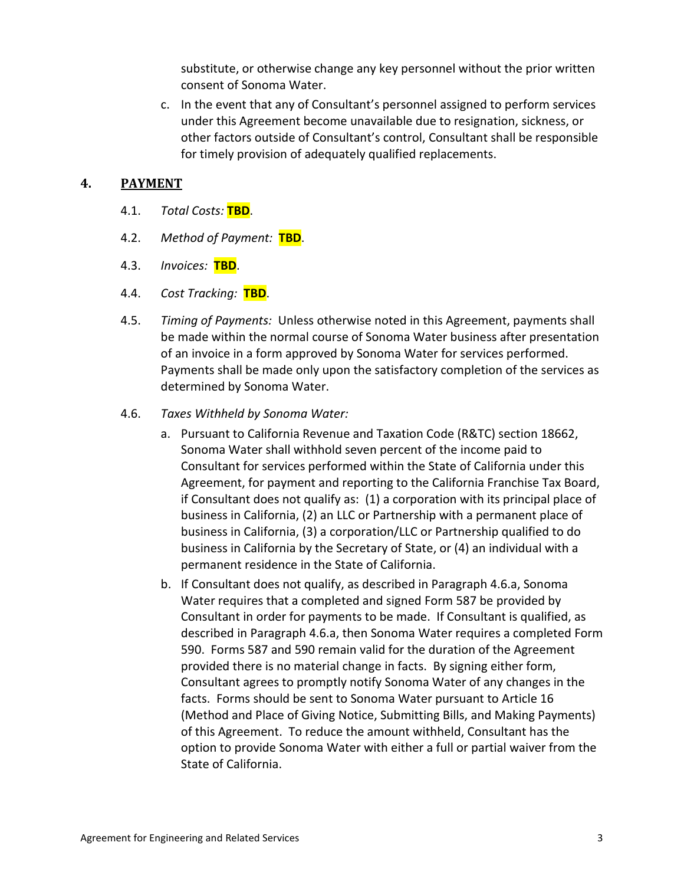substitute, or otherwise change any key personnel without the prior written consent of Sonoma Water.

c. In the event that any of Consultant's personnel assigned to perform services under this Agreement become unavailable due to resignation, sickness, or other factors outside of Consultant's control, Consultant shall be responsible for timely provision of adequately qualified replacements.

#### **4. PAYMENT**

- 4.1. *Total Costs:* **TBD**.
- 4.2. *Method of Payment:* **TBD**.
- <span id="page-11-1"></span>4.3. *Invoices:* **TBD**.
- 4.4. *Cost Tracking:* **TBD**.
- 4.5. *Timing of Payments:* Unless otherwise noted in this Agreement, payments shall be made within the normal course of Sonoma Water business after presentation of an invoice in a form approved by Sonoma Water for services performed. Payments shall be made only upon the satisfactory completion of the services as determined by Sonoma Water.
- <span id="page-11-0"></span>4.6. *Taxes Withheld by Sonoma Water:*
	- a. Pursuant to California Revenue and Taxation Code (R&TC) section 18662, Sonoma Water shall withhold seven percent of the income paid to Consultant for services performed within the State of California under this Agreement, for payment and reporting to the California Franchise Tax Board, if Consultant does not qualify as: (1) a corporation with its principal place of business in California, (2) an LLC or Partnership with a permanent place of business in California, (3) a corporation/LLC or Partnership qualified to do business in California by the Secretary of State, or (4) an individual with a permanent residence in the State of California.
	- b. If Consultant does not qualify, as described in Paragraph [4.6.a,](#page-11-0) Sonoma Water requires that a completed and signed Form 587 be provided by Consultant in order for payments to be made. If Consultant is qualified, as described in Paragraph [4.6.a,](#page-11-0) then Sonoma Water requires a completed Form 590. Forms 587 and 590 remain valid for the duration of the Agreement provided there is no material change in facts. By signing either form, Consultant agrees to promptly notify Sonoma Water of any changes in the facts. Forms should be sent to Sonoma Water pursuant to Articl[e 16](#page-20-0) [\(Method and Place of Giving Notice, Submitting Bills, and Making Payments\)](#page-20-0) of this Agreement. To reduce the amount withheld, Consultant has the option to provide Sonoma Water with either a full or partial waiver from the State of California.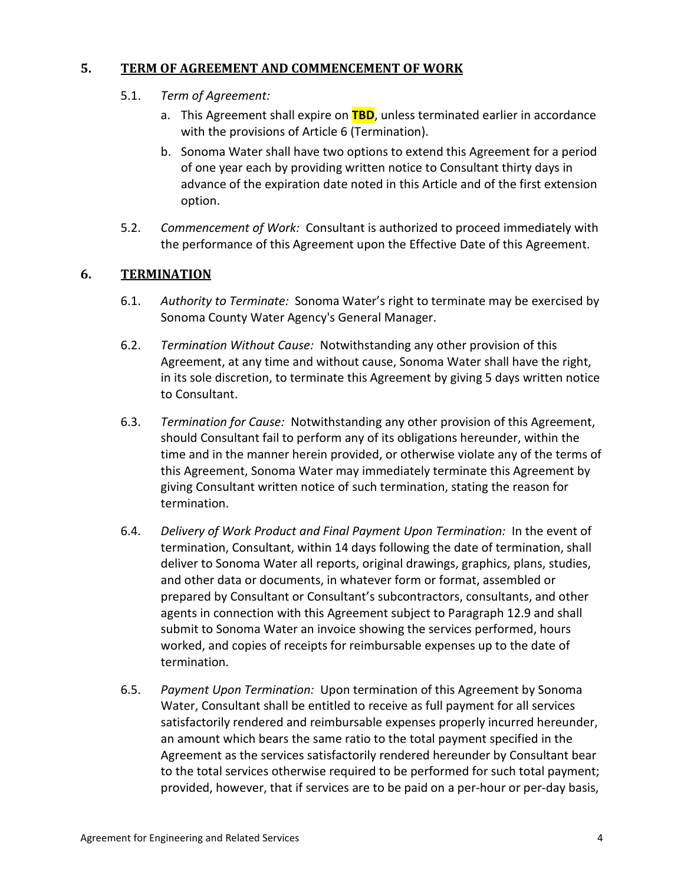## <span id="page-12-0"></span>**5. TERM OF AGREEMENT AND COMMENCEMENT OF WORK**

## 5.1. *Term of Agreement:*

- a. This Agreement shall expire on **TBD**, unless terminated earlier in accordance with the provisions of Article [6](#page-12-1) [\(Termination\)](#page-12-1).
- b. Sonoma Water shall have two options to extend this Agreement for a period of one year each by providing written notice to Consultant thirty days in advance of the expiration date noted in this Article and of the first extension option.
- 5.2. *Commencement of Work:* Consultant is authorized to proceed immediately with the performance of this Agreement upon the Effective Date of this Agreement.

## <span id="page-12-1"></span>**6. TERMINATION**

- 6.1. *Authority to Terminate:* Sonoma Water's right to terminate may be exercised by Sonoma County Water Agency's General Manager.
- 6.2. *Termination Without Cause:* Notwithstanding any other provision of this Agreement, at any time and without cause, Sonoma Water shall have the right, in its sole discretion, to terminate this Agreement by giving 5 days written notice to Consultant.
- <span id="page-12-2"></span>6.3. *Termination for Cause:* Notwithstanding any other provision of this Agreement, should Consultant fail to perform any of its obligations hereunder, within the time and in the manner herein provided, or otherwise violate any of the terms of this Agreement, Sonoma Water may immediately terminate this Agreement by giving Consultant written notice of such termination, stating the reason for termination.
- 6.4. *Delivery of Work Product and Final Payment Upon Termination:* In the event of termination, Consultant, within 14 days following the date of termination, shall deliver to Sonoma Water all reports, original drawings, graphics, plans, studies, and other data or documents, in whatever form or format, assembled or prepared by Consultant or Consultant's subcontractors, consultants, and other agents in connection with this Agreement subject to Paragraph [12.9](#page-17-0) and shall submit to Sonoma Water an invoice showing the services performed, hours worked, and copies of receipts for reimbursable expenses up to the date of termination.
- 6.5. *Payment Upon Termination:* Upon termination of this Agreement by Sonoma Water, Consultant shall be entitled to receive as full payment for all services satisfactorily rendered and reimbursable expenses properly incurred hereunder, an amount which bears the same ratio to the total payment specified in the Agreement as the services satisfactorily rendered hereunder by Consultant bear to the total services otherwise required to be performed for such total payment; provided, however, that if services are to be paid on a per-hour or per-day basis,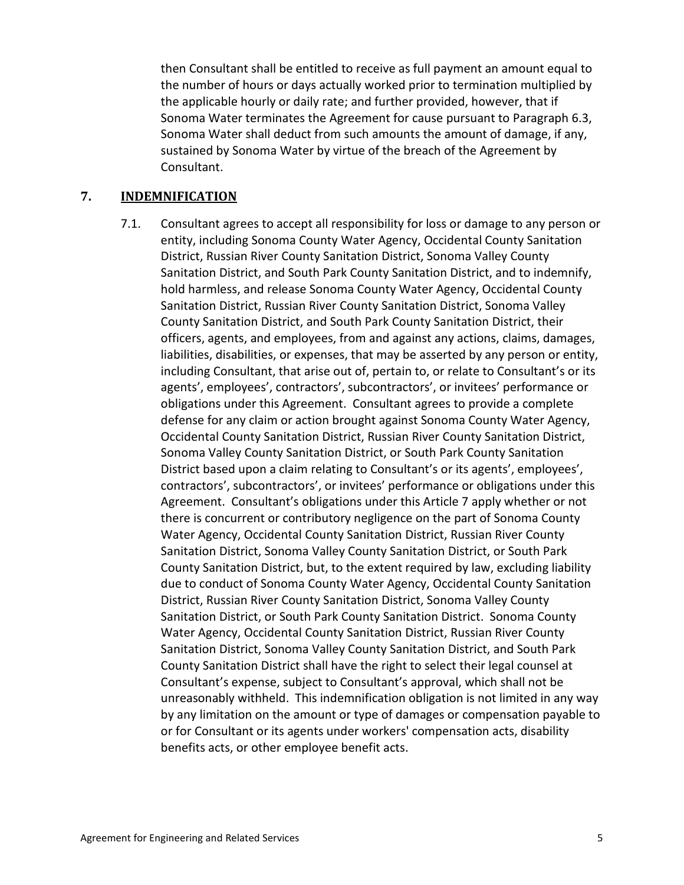then Consultant shall be entitled to receive as full payment an amount equal to the number of hours or days actually worked prior to termination multiplied by the applicable hourly or daily rate; and further provided, however, that if Sonoma Water terminates the Agreement for cause pursuant to Paragraph [6.3,](#page-12-2) Sonoma Water shall deduct from such amounts the amount of damage, if any, sustained by Sonoma Water by virtue of the breach of the Agreement by Consultant.

#### <span id="page-13-0"></span>**7. INDEMNIFICATION**

7.1. Consultant agrees to accept all responsibility for loss or damage to any person or entity, including Sonoma County Water Agency, Occidental County Sanitation District, Russian River County Sanitation District, Sonoma Valley County Sanitation District, and South Park County Sanitation District, and to indemnify, hold harmless, and release Sonoma County Water Agency, Occidental County Sanitation District, Russian River County Sanitation District, Sonoma Valley County Sanitation District, and South Park County Sanitation District, their officers, agents, and employees, from and against any actions, claims, damages, liabilities, disabilities, or expenses, that may be asserted by any person or entity, including Consultant, that arise out of, pertain to, or relate to Consultant's or its agents', employees', contractors', subcontractors', or invitees' performance or obligations under this Agreement. Consultant agrees to provide a complete defense for any claim or action brought against Sonoma County Water Agency, Occidental County Sanitation District, Russian River County Sanitation District, Sonoma Valley County Sanitation District, or South Park County Sanitation District based upon a claim relating to Consultant's or its agents', employees', contractors', subcontractors', or invitees' performance or obligations under this Agreement. Consultant's obligations under this Article [7](#page-13-0) apply whether or not there is concurrent or contributory negligence on the part of Sonoma County Water Agency, Occidental County Sanitation District, Russian River County Sanitation District, Sonoma Valley County Sanitation District, or South Park County Sanitation District, but, to the extent required by law, excluding liability due to conduct of Sonoma County Water Agency, Occidental County Sanitation District, Russian River County Sanitation District, Sonoma Valley County Sanitation District, or South Park County Sanitation District. Sonoma County Water Agency, Occidental County Sanitation District, Russian River County Sanitation District, Sonoma Valley County Sanitation District, and South Park County Sanitation District shall have the right to select their legal counsel at Consultant's expense, subject to Consultant's approval, which shall not be unreasonably withheld. This indemnification obligation is not limited in any way by any limitation on the amount or type of damages or compensation payable to or for Consultant or its agents under workers' compensation acts, disability benefits acts, or other employee benefit acts.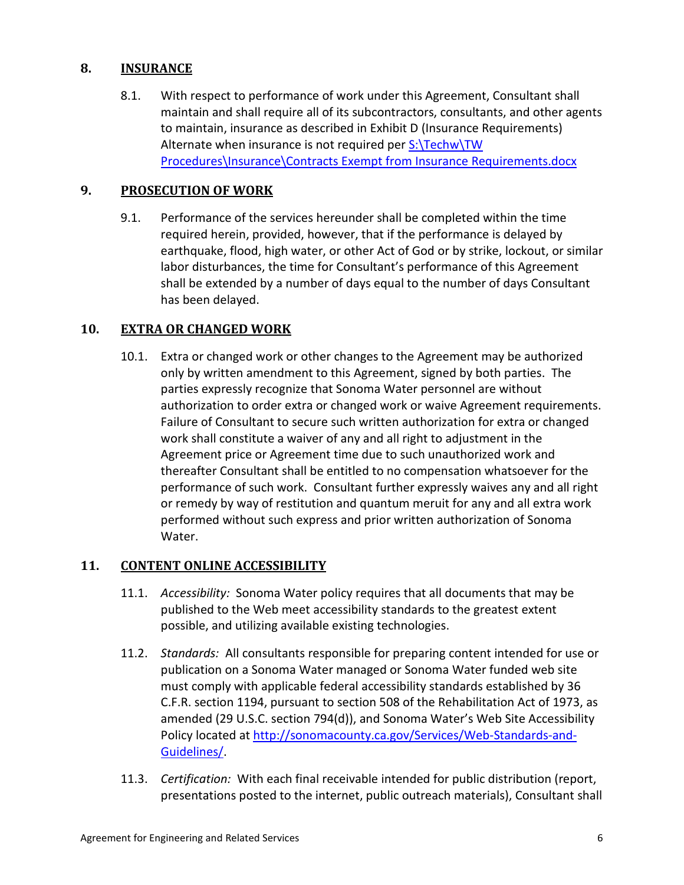## **8. INSURANCE**

8.1. With respect to performance of work under this Agreement, Consultant shall maintain and shall require all of its subcontractors, consultants, and other agents to maintain, insurance as described in Exhibit D (Insurance Requirements) Alternate when insurance is not required per [S:\Techw\TW](file://scwa.loc/Shares/Techw/TW%20Procedures/Insurance/Contracts%20Exempt%20from%20Insurance%20Requirements.docx)  [Procedures\Insurance\Contracts Exempt from Insurance Requirements.docx](file://scwa.loc/Shares/Techw/TW%20Procedures/Insurance/Contracts%20Exempt%20from%20Insurance%20Requirements.docx)

## <span id="page-14-0"></span>**9. PROSECUTION OF WORK**

9.1. Performance of the services hereunder shall be completed within the time required herein, provided, however, that if the performance is delayed by earthquake, flood, high water, or other Act of God or by strike, lockout, or similar labor disturbances, the time for Consultant's performance of this Agreement shall be extended by a number of days equal to the number of days Consultant has been delayed.

## **10. EXTRA OR CHANGED WORK**

10.1. Extra or changed work or other changes to the Agreement may be authorized only by written amendment to this Agreement, signed by both parties. The parties expressly recognize that Sonoma Water personnel are without authorization to order extra or changed work or waive Agreement requirements. Failure of Consultant to secure such written authorization for extra or changed work shall constitute a waiver of any and all right to adjustment in the Agreement price or Agreement time due to such unauthorized work and thereafter Consultant shall be entitled to no compensation whatsoever for the performance of such work. Consultant further expressly waives any and all right or remedy by way of restitution and quantum meruit for any and all extra work performed without such express and prior written authorization of Sonoma Water.

## <span id="page-14-1"></span>**11. CONTENT ONLINE ACCESSIBILITY**

- 11.1. *Accessibility:* Sonoma Water policy requires that all documents that may be published to the Web meet accessibility standards to the greatest extent possible, and utilizing available existing technologies.
- 11.2. *Standards:* All consultants responsible for preparing content intended for use or publication on a Sonoma Water managed or Sonoma Water funded web site must comply with applicable federal accessibility standards established by 36 C.F.R. section 1194, pursuant to section 508 of the Rehabilitation Act of 1973, as amended (29 U.S.C. section 794(d)), and Sonoma Water's Web Site Accessibility Policy located at [http://sonomacounty.ca.gov/Services/Web-Standards-and-](http://sonomacounty.ca.gov/Services/Web-Standards-and-Guidelines/)[Guidelines/.](http://sonomacounty.ca.gov/Services/Web-Standards-and-Guidelines/)
- 11.3. *Certification:* With each final receivable intended for public distribution (report, presentations posted to the internet, public outreach materials), Consultant shall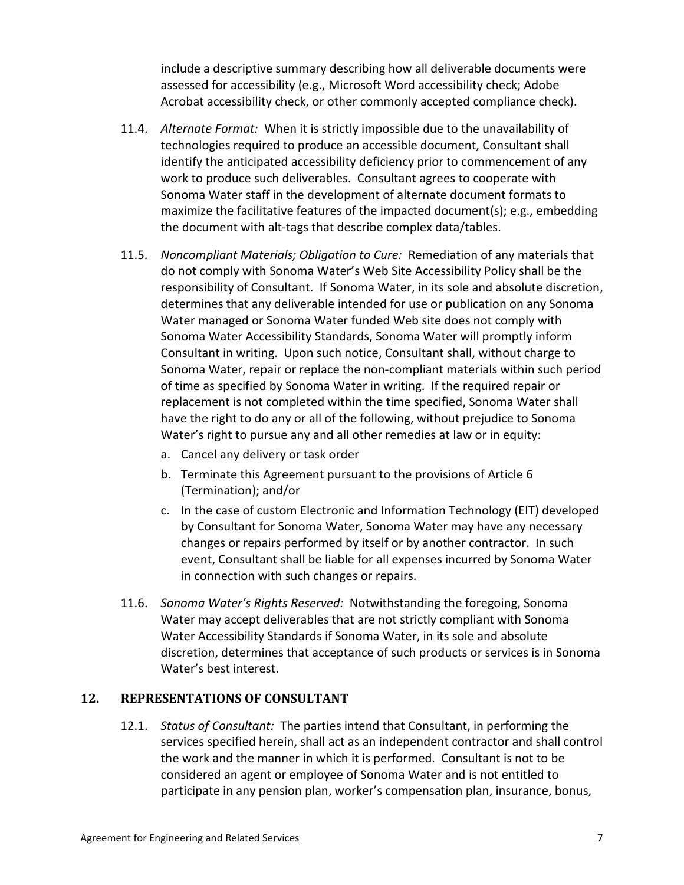include a descriptive summary describing how all deliverable documents were assessed for accessibility (e.g., Microsoft Word accessibility check; Adobe Acrobat accessibility check, or other commonly accepted compliance check).

- 11.4. *Alternate Format:* When it is strictly impossible due to the unavailability of technologies required to produce an accessible document, Consultant shall identify the anticipated accessibility deficiency prior to commencement of any work to produce such deliverables. Consultant agrees to cooperate with Sonoma Water staff in the development of alternate document formats to maximize the facilitative features of the impacted document(s); e.g., embedding the document with alt-tags that describe complex data/tables.
- 11.5. *Noncompliant Materials; Obligation to Cure:* Remediation of any materials that do not comply with Sonoma Water's Web Site Accessibility Policy shall be the responsibility of Consultant. If Sonoma Water, in its sole and absolute discretion, determines that any deliverable intended for use or publication on any Sonoma Water managed or Sonoma Water funded Web site does not comply with Sonoma Water Accessibility Standards, Sonoma Water will promptly inform Consultant in writing. Upon such notice, Consultant shall, without charge to Sonoma Water, repair or replace the non-compliant materials within such period of time as specified by Sonoma Water in writing. If the required repair or replacement is not completed within the time specified, Sonoma Water shall have the right to do any or all of the following, without prejudice to Sonoma Water's right to pursue any and all other remedies at law or in equity:
	- a. Cancel any delivery or task order
	- b. Terminate this Agreement pursuant to the provisions of Article [6](#page-12-1) [\(Termination\)](#page-12-1); and/or
	- c. In the case of custom Electronic and Information Technology (EIT) developed by Consultant for Sonoma Water, Sonoma Water may have any necessary changes or repairs performed by itself or by another contractor. In such event, Consultant shall be liable for all expenses incurred by Sonoma Water in connection with such changes or repairs.
- 11.6. *Sonoma Water's Rights Reserved:* Notwithstanding the foregoing, Sonoma Water may accept deliverables that are not strictly compliant with Sonoma Water Accessibility Standards if Sonoma Water, in its sole and absolute discretion, determines that acceptance of such products or services is in Sonoma Water's best interest.

## **12. REPRESENTATIONS OF CONSULTANT**

12.1. *Status of Consultant:* The parties intend that Consultant, in performing the services specified herein, shall act as an independent contractor and shall control the work and the manner in which it is performed. Consultant is not to be considered an agent or employee of Sonoma Water and is not entitled to participate in any pension plan, worker's compensation plan, insurance, bonus,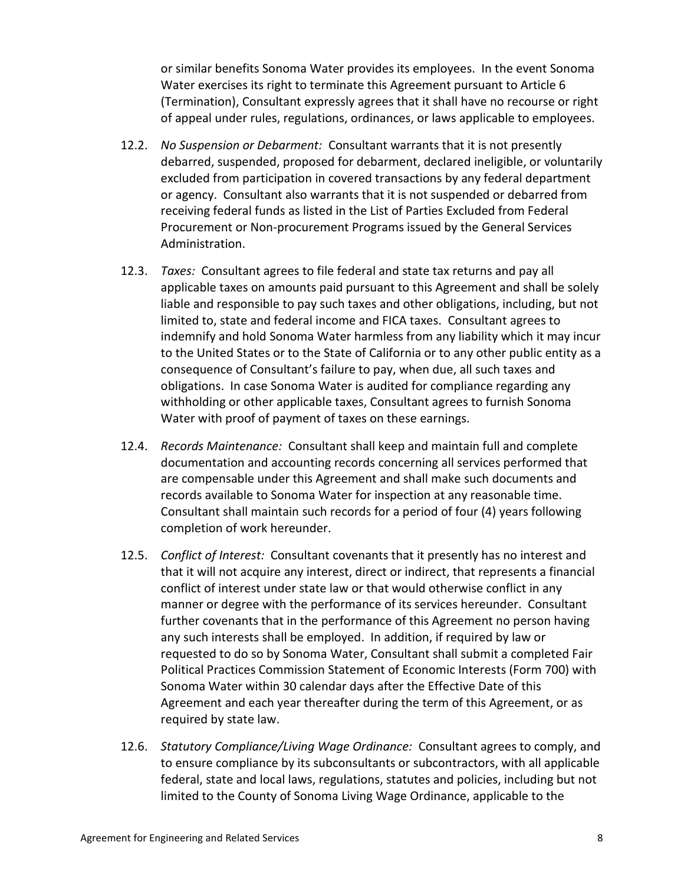or similar benefits Sonoma Water provides its employees. In the event Sonoma Water exercises its right to terminate this Agreement pursuant to Article [6](#page-12-1) [\(Termination\)](#page-12-1), Consultant expressly agrees that it shall have no recourse or right of appeal under rules, regulations, ordinances, or laws applicable to employees.

- 12.2. *No Suspension or Debarment:* Consultant warrants that it is not presently debarred, suspended, proposed for debarment, declared ineligible, or voluntarily excluded from participation in covered transactions by any federal department or agency. Consultant also warrants that it is not suspended or debarred from receiving federal funds as listed in the List of Parties Excluded from Federal Procurement or Non-procurement Programs issued by the General Services Administration.
- 12.3. *Taxes:* Consultant agrees to file federal and state tax returns and pay all applicable taxes on amounts paid pursuant to this Agreement and shall be solely liable and responsible to pay such taxes and other obligations, including, but not limited to, state and federal income and FICA taxes. Consultant agrees to indemnify and hold Sonoma Water harmless from any liability which it may incur to the United States or to the State of California or to any other public entity as a consequence of Consultant's failure to pay, when due, all such taxes and obligations. In case Sonoma Water is audited for compliance regarding any withholding or other applicable taxes, Consultant agrees to furnish Sonoma Water with proof of payment of taxes on these earnings.
- 12.4. *Records Maintenance:* Consultant shall keep and maintain full and complete documentation and accounting records concerning all services performed that are compensable under this Agreement and shall make such documents and records available to Sonoma Water for inspection at any reasonable time. Consultant shall maintain such records for a period of four (4) years following completion of work hereunder.
- 12.5. *Conflict of Interest:* Consultant covenants that it presently has no interest and that it will not acquire any interest, direct or indirect, that represents a financial conflict of interest under state law or that would otherwise conflict in any manner or degree with the performance of its services hereunder. Consultant further covenants that in the performance of this Agreement no person having any such interests shall be employed. In addition, if required by law or requested to do so by Sonoma Water, Consultant shall submit a completed Fair Political Practices Commission Statement of Economic Interests (Form 700) with Sonoma Water within 30 calendar days after the Effective Date of this Agreement and each year thereafter during the term of this Agreement, or as required by state law.
- 12.6. *Statutory Compliance/Living Wage Ordinance:* Consultant agrees to comply, and to ensure compliance by its subconsultants or subcontractors, with all applicable federal, state and local laws, regulations, statutes and policies, including but not limited to the County of Sonoma Living Wage Ordinance, applicable to the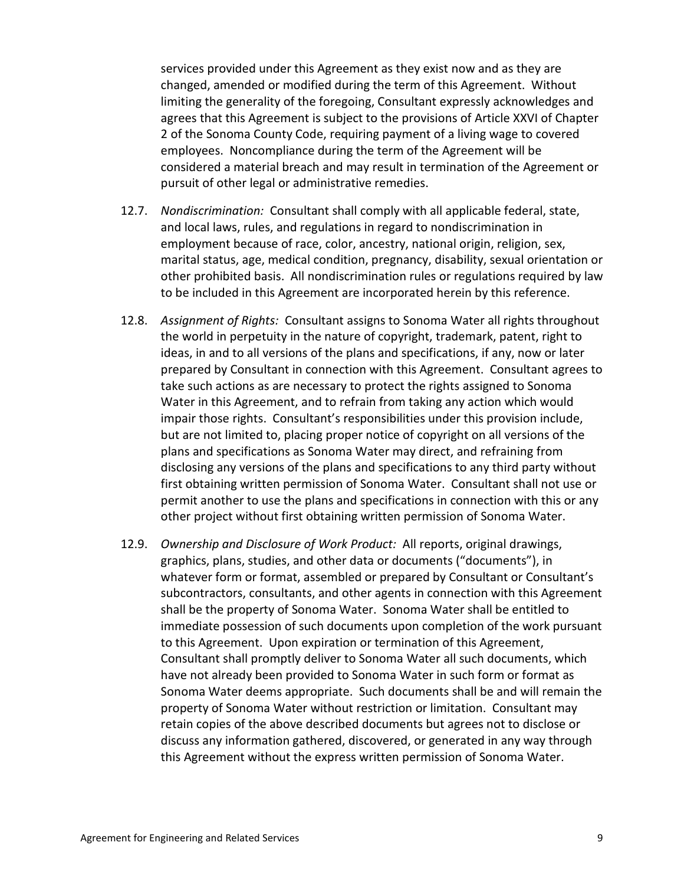services provided under this Agreement as they exist now and as they are changed, amended or modified during the term of this Agreement. Without limiting the generality of the foregoing, Consultant expressly acknowledges and agrees that this Agreement is subject to the provisions of Article XXVI of Chapter 2 of the Sonoma County Code, requiring payment of a living wage to covered employees. Noncompliance during the term of the Agreement will be considered a material breach and may result in termination of the Agreement or pursuit of other legal or administrative remedies.

- 12.7. *Nondiscrimination:* Consultant shall comply with all applicable federal, state, and local laws, rules, and regulations in regard to nondiscrimination in employment because of race, color, ancestry, national origin, religion, sex, marital status, age, medical condition, pregnancy, disability, sexual orientation or other prohibited basis. All nondiscrimination rules or regulations required by law to be included in this Agreement are incorporated herein by this reference.
- 12.8. *Assignment of Rights:* Consultant assigns to Sonoma Water all rights throughout the world in perpetuity in the nature of copyright, trademark, patent, right to ideas, in and to all versions of the plans and specifications, if any, now or later prepared by Consultant in connection with this Agreement. Consultant agrees to take such actions as are necessary to protect the rights assigned to Sonoma Water in this Agreement, and to refrain from taking any action which would impair those rights. Consultant's responsibilities under this provision include, but are not limited to, placing proper notice of copyright on all versions of the plans and specifications as Sonoma Water may direct, and refraining from disclosing any versions of the plans and specifications to any third party without first obtaining written permission of Sonoma Water. Consultant shall not use or permit another to use the plans and specifications in connection with this or any other project without first obtaining written permission of Sonoma Water.
- <span id="page-17-0"></span>12.9. *Ownership and Disclosure of Work Product:* All reports, original drawings, graphics, plans, studies, and other data or documents ("documents"), in whatever form or format, assembled or prepared by Consultant or Consultant's subcontractors, consultants, and other agents in connection with this Agreement shall be the property of Sonoma Water. Sonoma Water shall be entitled to immediate possession of such documents upon completion of the work pursuant to this Agreement. Upon expiration or termination of this Agreement, Consultant shall promptly deliver to Sonoma Water all such documents, which have not already been provided to Sonoma Water in such form or format as Sonoma Water deems appropriate. Such documents shall be and will remain the property of Sonoma Water without restriction or limitation. Consultant may retain copies of the above described documents but agrees not to disclose or discuss any information gathered, discovered, or generated in any way through this Agreement without the express written permission of Sonoma Water.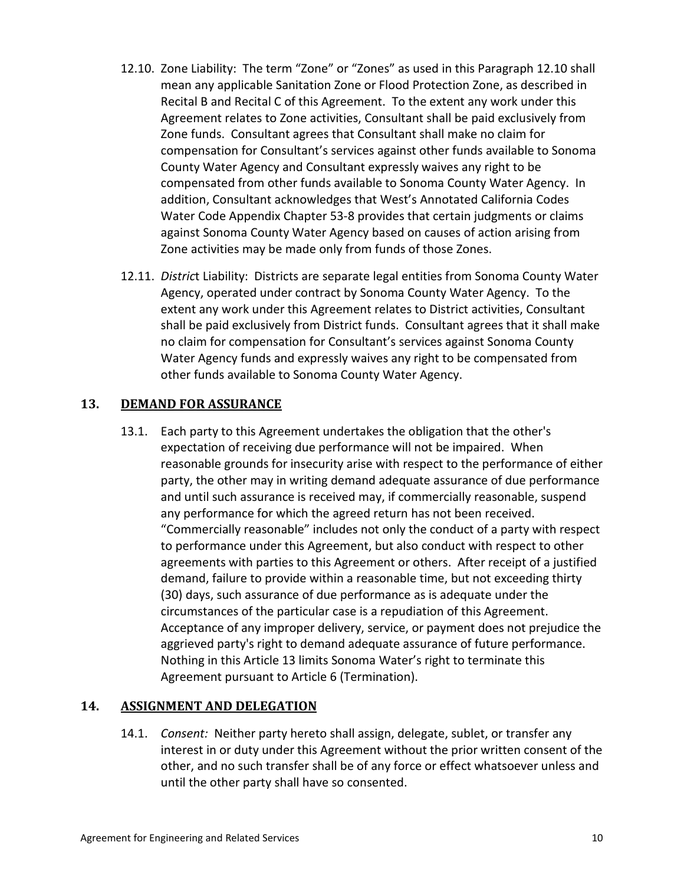- <span id="page-18-0"></span>12.10. Zone Liability: The term "Zone" or "Zones" as used in this Paragraph [12.10](#page-18-0) shall mean any applicable Sanitation Zone or Flood Protection Zone, as described in Recital [B](#page-9-0) and Recital [C](#page-9-1) of this Agreement. To the extent any work under this Agreement relates to Zone activities, Consultant shall be paid exclusively from Zone funds. Consultant agrees that Consultant shall make no claim for compensation for Consultant's services against other funds available to Sonoma County Water Agency and Consultant expressly waives any right to be compensated from other funds available to Sonoma County Water Agency. In addition, Consultant acknowledges that West's Annotated California Codes Water Code Appendix Chapter 53-8 provides that certain judgments or claims against Sonoma County Water Agency based on causes of action arising from Zone activities may be made only from funds of those Zones.
- 12.11. *Distric*t Liability: Districts are separate legal entities from Sonoma County Water Agency, operated under contract by Sonoma County Water Agency. To the extent any work under this Agreement relates to District activities, Consultant shall be paid exclusively from District funds. Consultant agrees that it shall make no claim for compensation for Consultant's services against Sonoma County Water Agency funds and expressly waives any right to be compensated from other funds available to Sonoma County Water Agency.

#### <span id="page-18-1"></span>**13. DEMAND FOR ASSURANCE**

13.1. Each party to this Agreement undertakes the obligation that the other's expectation of receiving due performance will not be impaired. When reasonable grounds for insecurity arise with respect to the performance of either party, the other may in writing demand adequate assurance of due performance and until such assurance is received may, if commercially reasonable, suspend any performance for which the agreed return has not been received. "Commercially reasonable" includes not only the conduct of a party with respect to performance under this Agreement, but also conduct with respect to other agreements with parties to this Agreement or others. After receipt of a justified demand, failure to provide within a reasonable time, but not exceeding thirty (30) days, such assurance of due performance as is adequate under the circumstances of the particular case is a repudiation of this Agreement. Acceptance of any improper delivery, service, or payment does not prejudice the aggrieved party's right to demand adequate assurance of future performance. Nothing in this Article [13](#page-18-1) limits Sonoma Water's right to terminate this Agreement pursuant to Article [6](#page-12-1) [\(Termination\)](#page-12-1).

## **14. ASSIGNMENT AND DELEGATION**

14.1. *Consent:* Neither party hereto shall assign, delegate, sublet, or transfer any interest in or duty under this Agreement without the prior written consent of the other, and no such transfer shall be of any force or effect whatsoever unless and until the other party shall have so consented.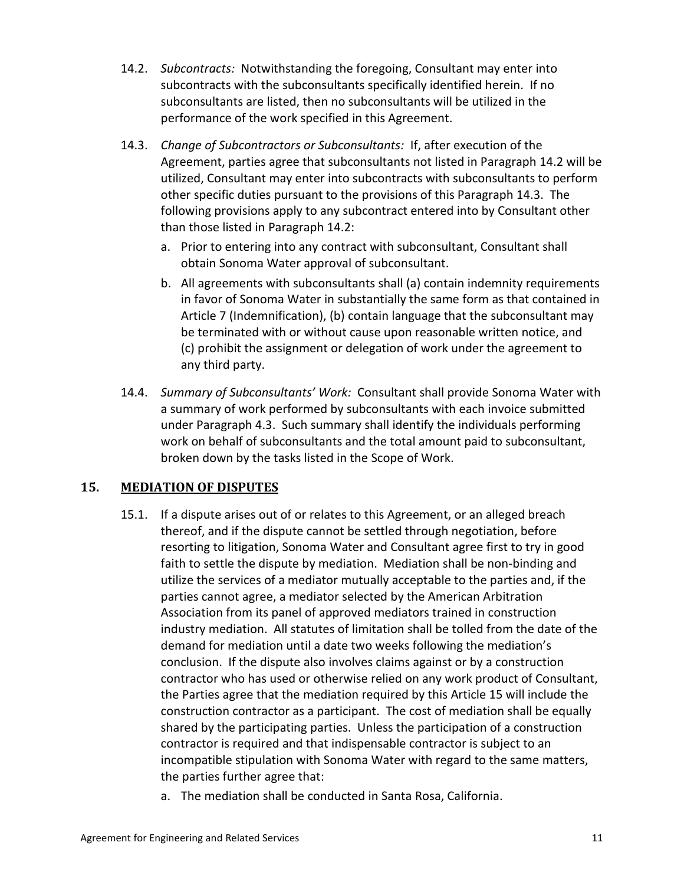- <span id="page-19-0"></span>14.2. *Subcontracts:* Notwithstanding the foregoing, Consultant may enter into subcontracts with the subconsultants specifically identified herein. If no subconsultants are listed, then no subconsultants will be utilized in the performance of the work specified in this Agreement.
- <span id="page-19-1"></span>14.3. *Change of Subcontractors or Subconsultants:* If, after execution of the Agreement, parties agree that subconsultants not listed in Paragraph [14.2](#page-19-0) will be utilized, Consultant may enter into subcontracts with subconsultants to perform other specific duties pursuant to the provisions of this Paragraph [14.3.](#page-19-1) The following provisions apply to any subcontract entered into by Consultant other than those listed in Paragraph [14.2:](#page-19-0)
	- a. Prior to entering into any contract with subconsultant, Consultant shall obtain Sonoma Water approval of subconsultant.
	- b. All agreements with subconsultants shall (a) contain indemnity requirements in favor of Sonoma Water in substantially the same form as that contained in Article [7](#page-13-0) [\(Indemnification\)](#page-13-0), (b) contain language that the subconsultant may be terminated with or without cause upon reasonable written notice, and (c) prohibit the assignment or delegation of work under the agreement to any third party.
- 14.4. *Summary of Subconsultants' Work:* Consultant shall provide Sonoma Water with a summary of work performed by subconsultants with each invoice submitted under Paragraph [4.3.](#page-11-1) Such summary shall identify the individuals performing work on behalf of subconsultants and the total amount paid to subconsultant, broken down by the tasks listed in the Scope of Work.

## <span id="page-19-2"></span>**15. MEDIATION OF DISPUTES**

- 15.1. If a dispute arises out of or relates to this Agreement, or an alleged breach thereof, and if the dispute cannot be settled through negotiation, before resorting to litigation, Sonoma Water and Consultant agree first to try in good faith to settle the dispute by mediation. Mediation shall be non-binding and utilize the services of a mediator mutually acceptable to the parties and, if the parties cannot agree, a mediator selected by the American Arbitration Association from its panel of approved mediators trained in construction industry mediation. All statutes of limitation shall be tolled from the date of the demand for mediation until a date two weeks following the mediation's conclusion. If the dispute also involves claims against or by a construction contractor who has used or otherwise relied on any work product of Consultant, the Parties agree that the mediation required by this Article [15](#page-19-2) will include the construction contractor as a participant. The cost of mediation shall be equally shared by the participating parties. Unless the participation of a construction contractor is required and that indispensable contractor is subject to an incompatible stipulation with Sonoma Water with regard to the same matters, the parties further agree that:
	- a. The mediation shall be conducted in Santa Rosa, California.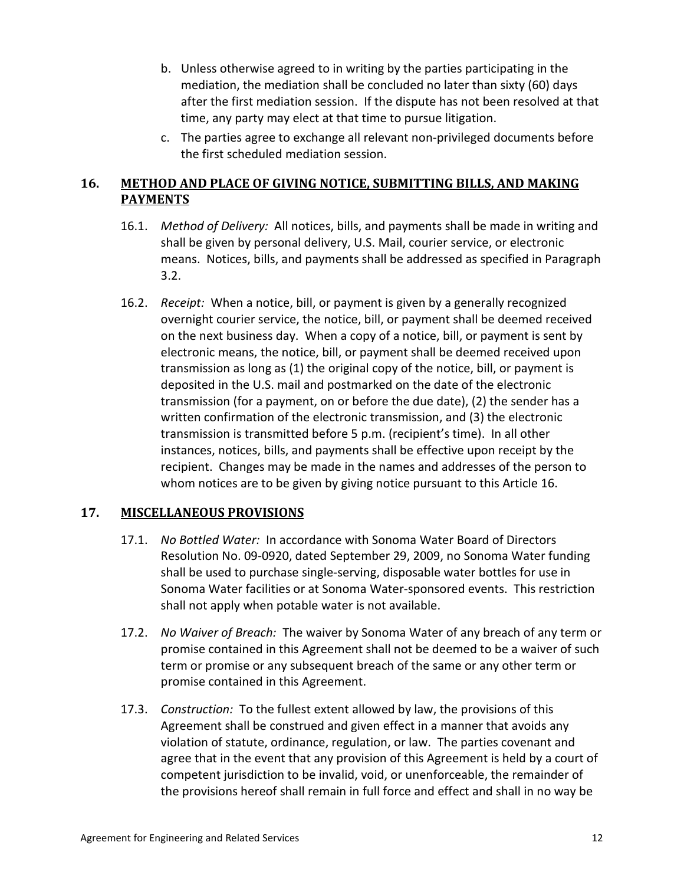- b. Unless otherwise agreed to in writing by the parties participating in the mediation, the mediation shall be concluded no later than sixty (60) days after the first mediation session. If the dispute has not been resolved at that time, any party may elect at that time to pursue litigation.
- c. The parties agree to exchange all relevant non-privileged documents before the first scheduled mediation session.

## <span id="page-20-0"></span>**16. METHOD AND PLACE OF GIVING NOTICE, SUBMITTING BILLS, AND MAKING PAYMENTS**

- 16.1. *Method of Delivery:* All notices, bills, and payments shall be made in writing and shall be given by personal delivery, U.S. Mail, courier service, or electronic means. Notices, bills, and payments shall be addressed as specified in Paragraph [3.2.](#page-10-0)
- 16.2. *Receipt:* When a notice, bill, or payment is given by a generally recognized overnight courier service, the notice, bill, or payment shall be deemed received on the next business day. When a copy of a notice, bill, or payment is sent by electronic means, the notice, bill, or payment shall be deemed received upon transmission as long as (1) the original copy of the notice, bill, or payment is deposited in the U.S. mail and postmarked on the date of the electronic transmission (for a payment, on or before the due date), (2) the sender has a written confirmation of the electronic transmission, and (3) the electronic transmission is transmitted before 5 p.m. (recipient's time). In all other instances, notices, bills, and payments shall be effective upon receipt by the recipient. Changes may be made in the names and addresses of the person to whom notices are to be given by giving notice pursuant to this Article [16.](#page-20-0)

## **17. MISCELLANEOUS PROVISIONS**

- 17.1. *No Bottled Water:* In accordance with Sonoma Water Board of Directors Resolution No. 09-0920, dated September 29, 2009, no Sonoma Water funding shall be used to purchase single-serving, disposable water bottles for use in Sonoma Water facilities or at Sonoma Water-sponsored events. This restriction shall not apply when potable water is not available.
- 17.2. *No Waiver of Breach:* The waiver by Sonoma Water of any breach of any term or promise contained in this Agreement shall not be deemed to be a waiver of such term or promise or any subsequent breach of the same or any other term or promise contained in this Agreement.
- 17.3. *Construction:* To the fullest extent allowed by law, the provisions of this Agreement shall be construed and given effect in a manner that avoids any violation of statute, ordinance, regulation, or law. The parties covenant and agree that in the event that any provision of this Agreement is held by a court of competent jurisdiction to be invalid, void, or unenforceable, the remainder of the provisions hereof shall remain in full force and effect and shall in no way be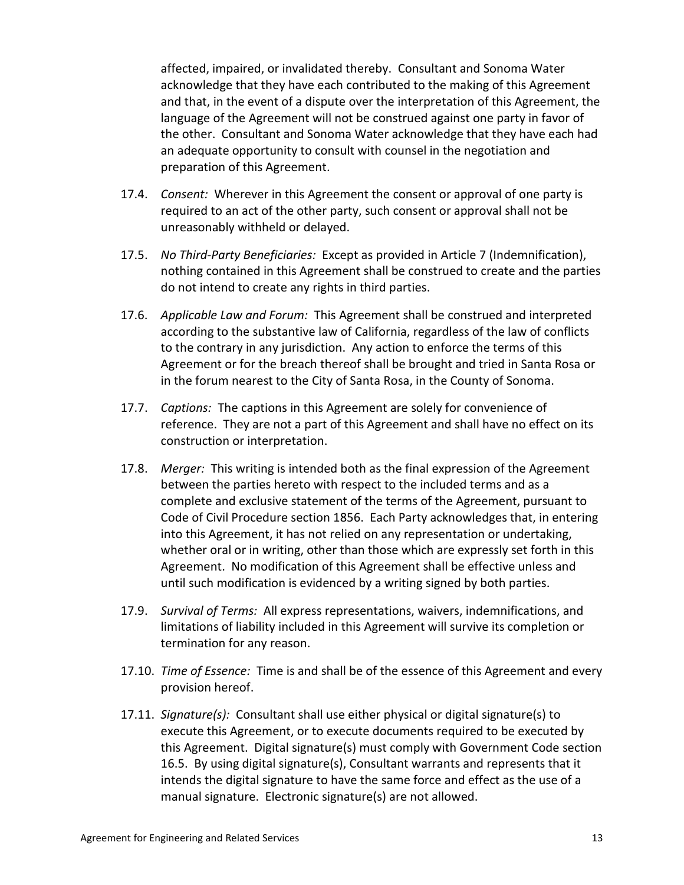affected, impaired, or invalidated thereby. Consultant and Sonoma Water acknowledge that they have each contributed to the making of this Agreement and that, in the event of a dispute over the interpretation of this Agreement, the language of the Agreement will not be construed against one party in favor of the other. Consultant and Sonoma Water acknowledge that they have each had an adequate opportunity to consult with counsel in the negotiation and preparation of this Agreement.

- 17.4. *Consent:* Wherever in this Agreement the consent or approval of one party is required to an act of the other party, such consent or approval shall not be unreasonably withheld or delayed.
- 17.5. *No Third-Party Beneficiaries:* Except as provided in Article [7](#page-13-0) [\(Indemnification\)](#page-13-0), nothing contained in this Agreement shall be construed to create and the parties do not intend to create any rights in third parties.
- 17.6. *Applicable Law and Forum:* This Agreement shall be construed and interpreted according to the substantive law of California, regardless of the law of conflicts to the contrary in any jurisdiction. Any action to enforce the terms of this Agreement or for the breach thereof shall be brought and tried in Santa Rosa or in the forum nearest to the City of Santa Rosa, in the County of Sonoma.
- 17.7. *Captions:* The captions in this Agreement are solely for convenience of reference. They are not a part of this Agreement and shall have no effect on its construction or interpretation.
- 17.8. *Merger:* This writing is intended both as the final expression of the Agreement between the parties hereto with respect to the included terms and as a complete and exclusive statement of the terms of the Agreement, pursuant to Code of Civil Procedure section 1856. Each Party acknowledges that, in entering into this Agreement, it has not relied on any representation or undertaking, whether oral or in writing, other than those which are expressly set forth in this Agreement. No modification of this Agreement shall be effective unless and until such modification is evidenced by a writing signed by both parties.
- 17.9. *Survival of Terms:* All express representations, waivers, indemnifications, and limitations of liability included in this Agreement will survive its completion or termination for any reason.
- 17.10. *Time of Essence:* Time is and shall be of the essence of this Agreement and every provision hereof.
- 17.11. *Signature(s):* Consultant shall use either physical or digital signature(s) to execute this Agreement, or to execute documents required to be executed by this Agreement. Digital signature(s) must comply with Government Code section 16.5. By using digital signature(s), Consultant warrants and represents that it intends the digital signature to have the same force and effect as the use of a manual signature. Electronic signature(s) are not allowed.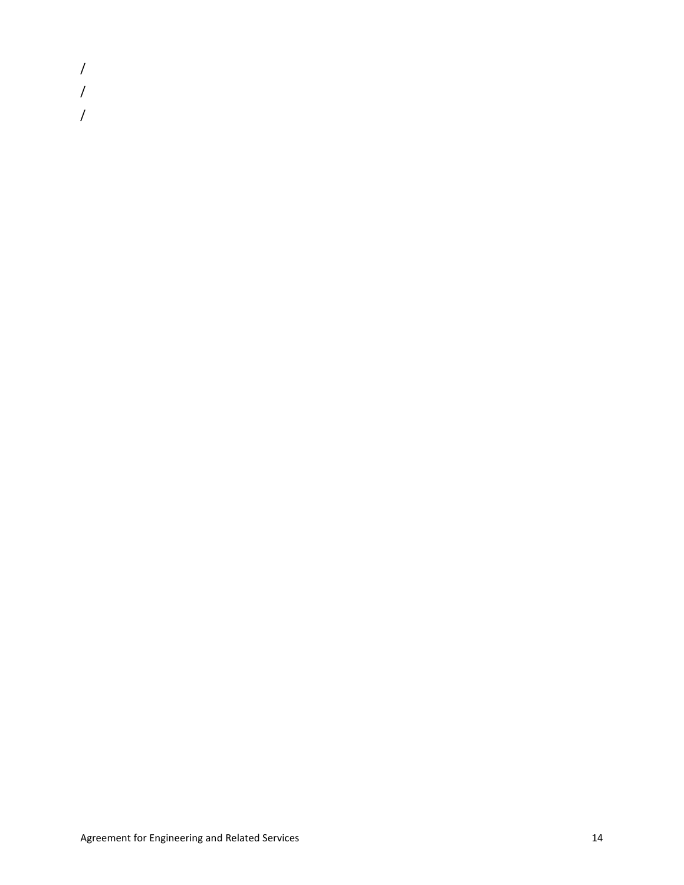/ / /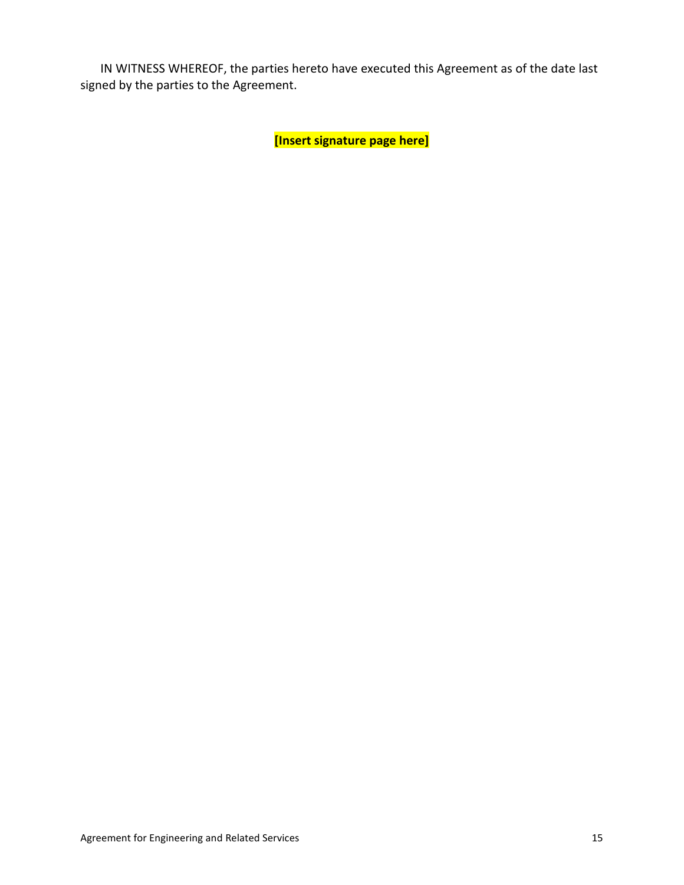IN WITNESS WHEREOF, the parties hereto have executed this Agreement as of the date last signed by the parties to the Agreement.

**[Insert signature page here]**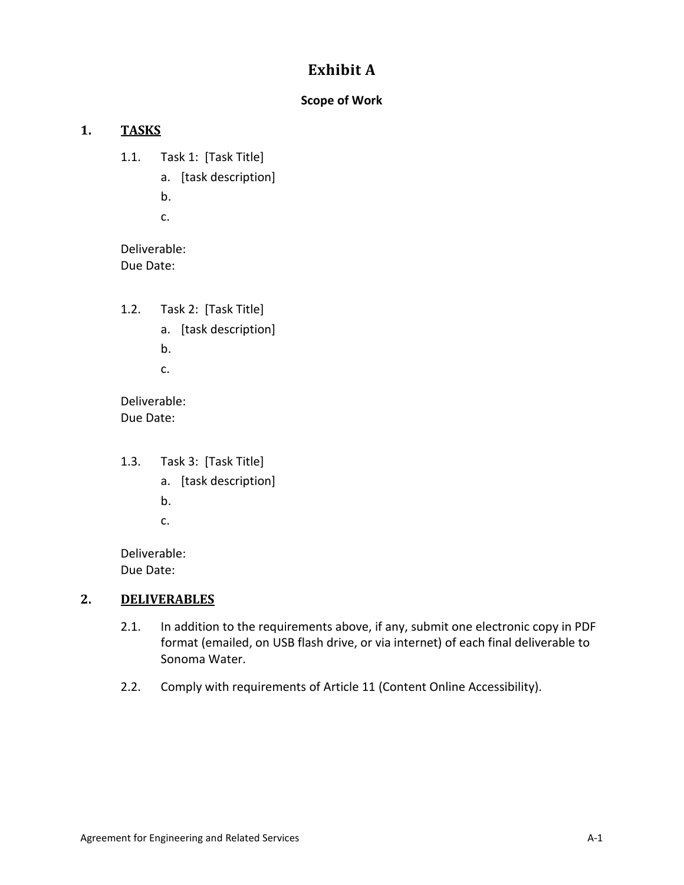# **Exhibit A**

## **Scope of Work**

## **1. TASKS**

- 1.1. Task 1: [Task Title]
	- a. [task description]
	- b.
	- c.

Deliverable: Due Date:

- 1.2. Task 2: [Task Title]
	- a. [task description]
	- b.
	- c.

Deliverable: Due Date:

- 1.3. Task 3: [Task Title]
	- a. [task description]
	- b.
	- c.

Deliverable: Due Date:

## **2. DELIVERABLES**

- 2.1. In addition to the requirements above, if any, submit one electronic copy in PDF format (emailed, on USB flash drive, or via internet) of each final deliverable to Sonoma Water.
- 2.2. Comply with requirements of Article [11](#page-14-1) [\(Content Online Accessibility\)](#page-14-1).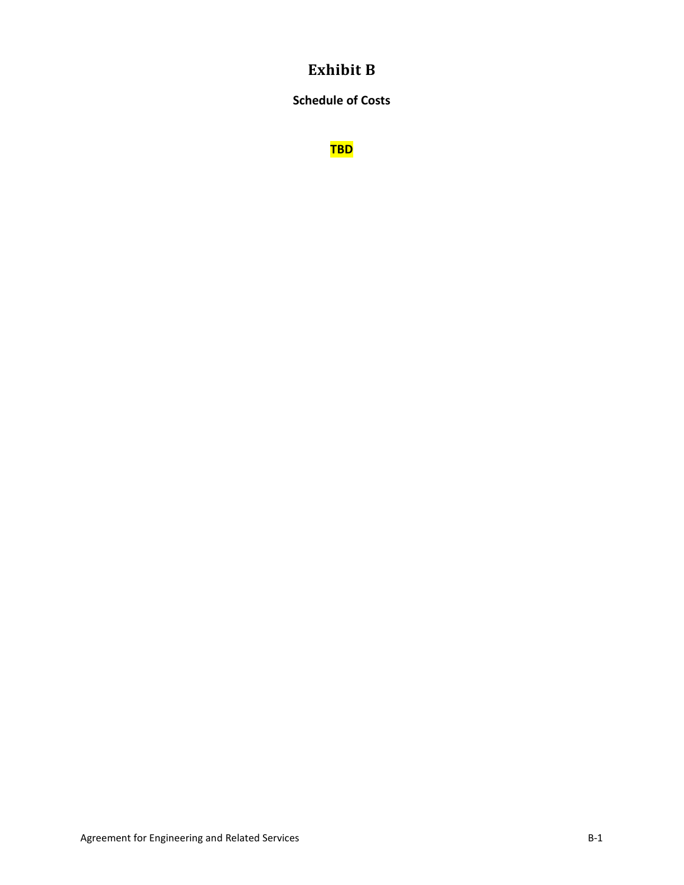## **Exhibit B**

**Schedule of Costs**

**TBD**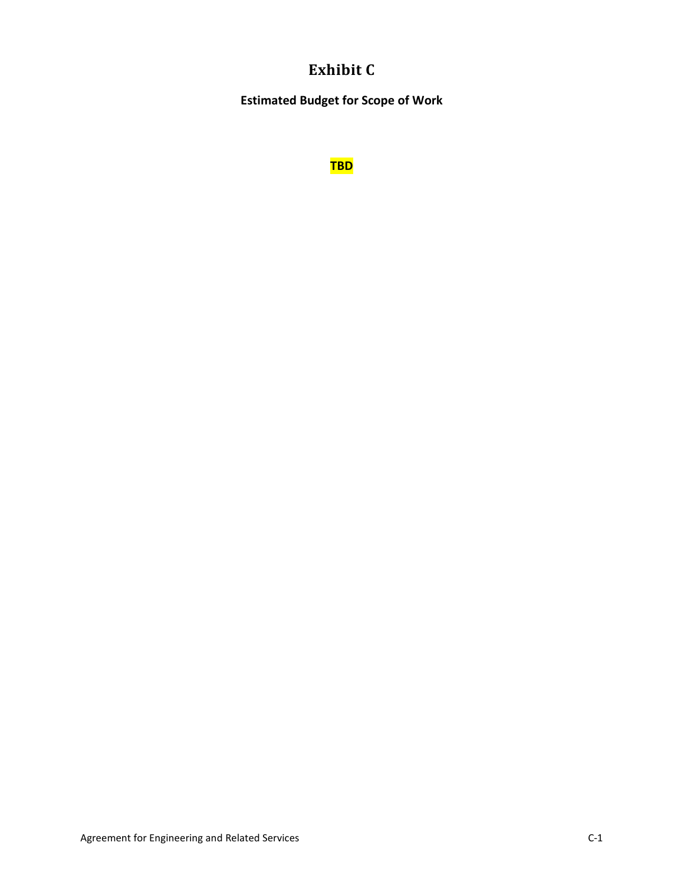# **Exhibit C**

**Estimated Budget for Scope of Work**

**TBD**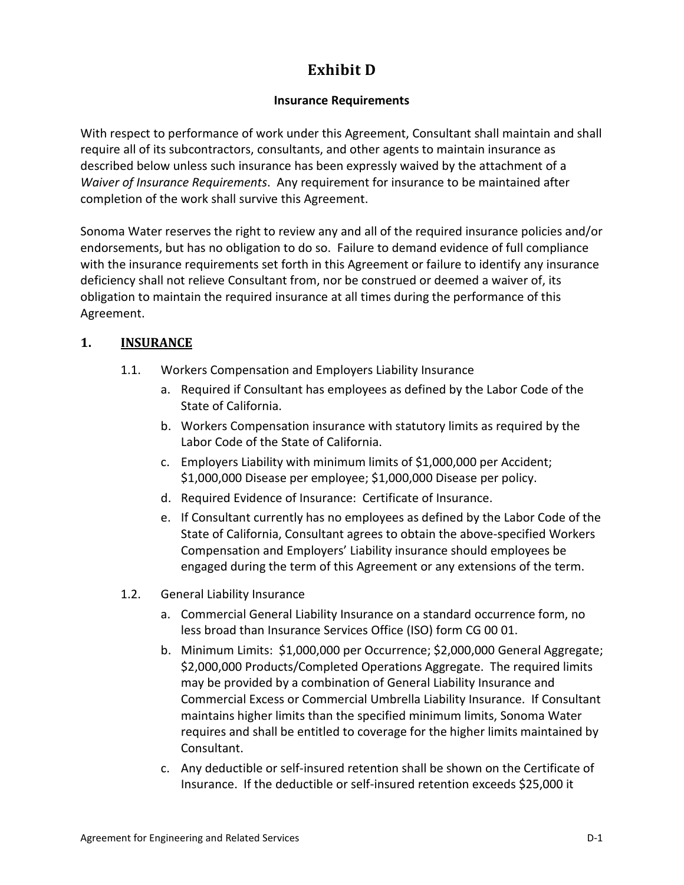# **Exhibit D**

## **Insurance Requirements**

With respect to performance of work under this Agreement, Consultant shall maintain and shall require all of its subcontractors, consultants, and other agents to maintain insurance as described below unless such insurance has been expressly waived by the attachment of a *Waiver of Insurance Requirements*. Any requirement for insurance to be maintained after completion of the work shall survive this Agreement.

Sonoma Water reserves the right to review any and all of the required insurance policies and/or endorsements, but has no obligation to do so. Failure to demand evidence of full compliance with the insurance requirements set forth in this Agreement or failure to identify any insurance deficiency shall not relieve Consultant from, nor be construed or deemed a waiver of, its obligation to maintain the required insurance at all times during the performance of this Agreement.

## <span id="page-27-0"></span>**1. INSURANCE**

- 1.1. Workers Compensation and Employers Liability Insurance
	- a. Required if Consultant has employees as defined by the Labor Code of the State of California.
	- b. Workers Compensation insurance with statutory limits as required by the Labor Code of the State of California.
	- c. Employers Liability with minimum limits of \$1,000,000 per Accident; \$1,000,000 Disease per employee; \$1,000,000 Disease per policy.
	- d. Required Evidence of Insurance: Certificate of Insurance.
	- e. If Consultant currently has no employees as defined by the Labor Code of the State of California, Consultant agrees to obtain the above-specified Workers Compensation and Employers' Liability insurance should employees be engaged during the term of this Agreement or any extensions of the term.
- <span id="page-27-1"></span>1.2. General Liability Insurance
	- a. Commercial General Liability Insurance on a standard occurrence form, no less broad than Insurance Services Office (ISO) form CG 00 01.
	- b. Minimum Limits: \$1,000,000 per Occurrence; \$2,000,000 General Aggregate; \$2,000,000 Products/Completed Operations Aggregate. The required limits may be provided by a combination of General Liability Insurance and Commercial Excess or Commercial Umbrella Liability Insurance. If Consultant maintains higher limits than the specified minimum limits, Sonoma Water requires and shall be entitled to coverage for the higher limits maintained by Consultant.
	- c. Any deductible or self-insured retention shall be shown on the Certificate of Insurance. If the deductible or self-insured retention exceeds \$25,000 it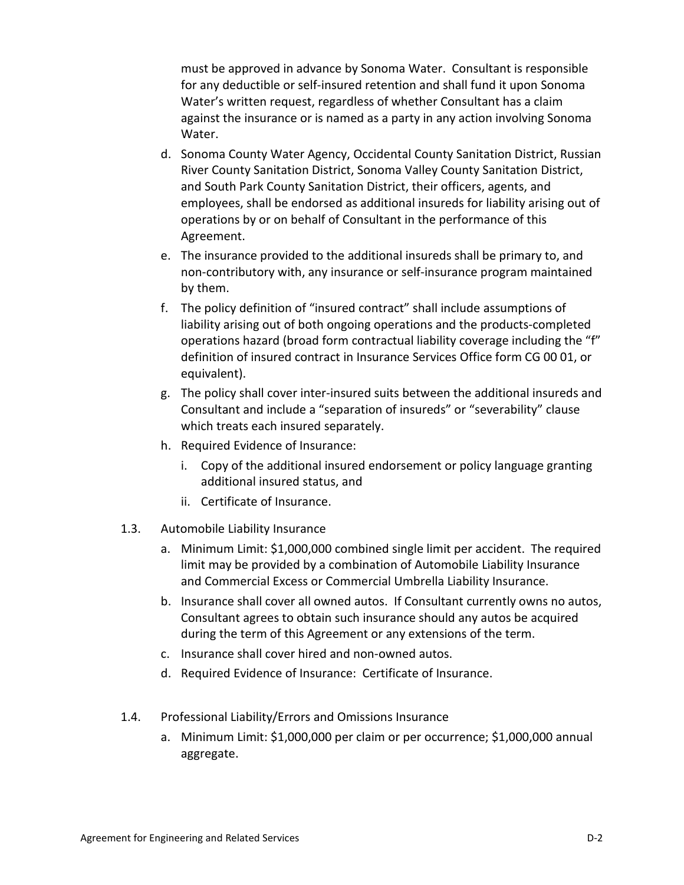must be approved in advance by Sonoma Water. Consultant is responsible for any deductible or self-insured retention and shall fund it upon Sonoma Water's written request, regardless of whether Consultant has a claim against the insurance or is named as a party in any action involving Sonoma Water.

- d. Sonoma County Water Agency, Occidental County Sanitation District, Russian River County Sanitation District, Sonoma Valley County Sanitation District, and South Park County Sanitation District, their officers, agents, and employees, shall be endorsed as additional insureds for liability arising out of operations by or on behalf of Consultant in the performance of this Agreement.
- e. The insurance provided to the additional insureds shall be primary to, and non-contributory with, any insurance or self-insurance program maintained by them.
- f. The policy definition of "insured contract" shall include assumptions of liability arising out of both ongoing operations and the products-completed operations hazard (broad form contractual liability coverage including the "f" definition of insured contract in Insurance Services Office form CG 00 01, or equivalent).
- g. The policy shall cover inter-insured suits between the additional insureds and Consultant and include a "separation of insureds" or "severability" clause which treats each insured separately.
- h. Required Evidence of Insurance:
	- i. Copy of the additional insured endorsement or policy language granting additional insured status, and
	- ii. Certificate of Insurance.
- <span id="page-28-0"></span>1.3. Automobile Liability Insurance
	- a. Minimum Limit: \$1,000,000 combined single limit per accident. The required limit may be provided by a combination of Automobile Liability Insurance and Commercial Excess or Commercial Umbrella Liability Insurance.
	- b. Insurance shall cover all owned autos. If Consultant currently owns no autos, Consultant agrees to obtain such insurance should any autos be acquired during the term of this Agreement or any extensions of the term.
	- c. Insurance shall cover hired and non-owned autos.
	- d. Required Evidence of Insurance: Certificate of Insurance.
- <span id="page-28-1"></span>1.4. Professional Liability/Errors and Omissions Insurance
	- a. Minimum Limit: \$1,000,000 per claim or per occurrence; \$1,000,000 annual aggregate.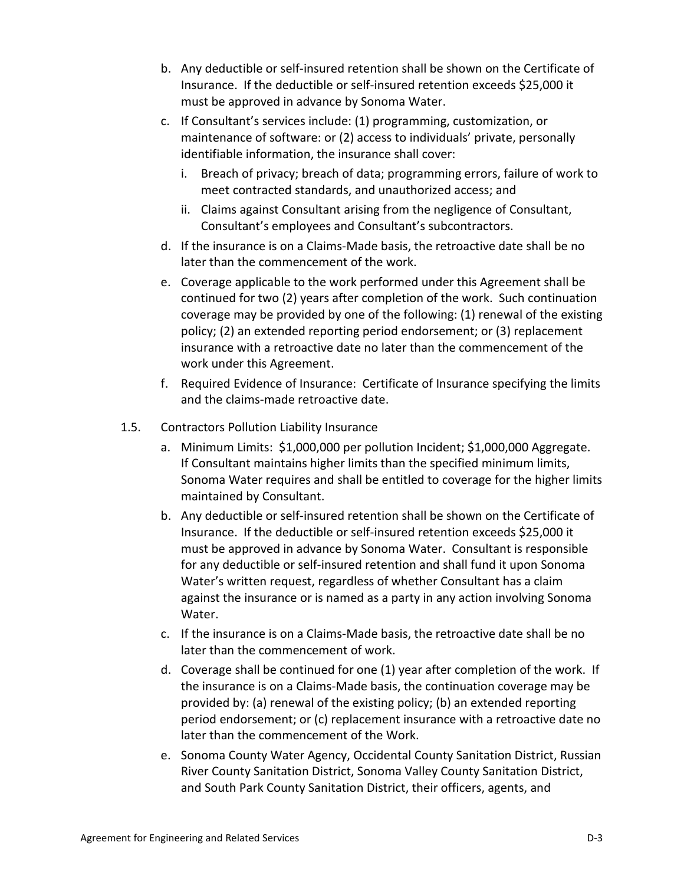- b. Any deductible or self-insured retention shall be shown on the Certificate of Insurance. If the deductible or self-insured retention exceeds \$25,000 it must be approved in advance by Sonoma Water.
- c. If Consultant's services include: (1) programming, customization, or maintenance of software: or (2) access to individuals' private, personally identifiable information, the insurance shall cover:
	- i. Breach of privacy; breach of data; programming errors, failure of work to meet contracted standards, and unauthorized access; and
	- ii. Claims against Consultant arising from the negligence of Consultant, Consultant's employees and Consultant's subcontractors.
- d. If the insurance is on a Claims-Made basis, the retroactive date shall be no later than the commencement of the work.
- e. Coverage applicable to the work performed under this Agreement shall be continued for two (2) years after completion of the work. Such continuation coverage may be provided by one of the following: (1) renewal of the existing policy; (2) an extended reporting period endorsement; or (3) replacement insurance with a retroactive date no later than the commencement of the work under this Agreement.
- f. Required Evidence of Insurance: Certificate of Insurance specifying the limits and the claims-made retroactive date.
- <span id="page-29-0"></span>1.5. Contractors Pollution Liability Insurance
	- a. Minimum Limits: \$1,000,000 per pollution Incident; \$1,000,000 Aggregate. If Consultant maintains higher limits than the specified minimum limits, Sonoma Water requires and shall be entitled to coverage for the higher limits maintained by Consultant.
	- b. Any deductible or self-insured retention shall be shown on the Certificate of Insurance. If the deductible or self-insured retention exceeds \$25,000 it must be approved in advance by Sonoma Water. Consultant is responsible for any deductible or self-insured retention and shall fund it upon Sonoma Water's written request, regardless of whether Consultant has a claim against the insurance or is named as a party in any action involving Sonoma Water.
	- c. If the insurance is on a Claims-Made basis, the retroactive date shall be no later than the commencement of work.
	- d. Coverage shall be continued for one (1) year after completion of the work. If the insurance is on a Claims-Made basis, the continuation coverage may be provided by: (a) renewal of the existing policy; (b) an extended reporting period endorsement; or (c) replacement insurance with a retroactive date no later than the commencement of the Work.
	- e. Sonoma County Water Agency, Occidental County Sanitation District, Russian River County Sanitation District, Sonoma Valley County Sanitation District, and South Park County Sanitation District, their officers, agents, and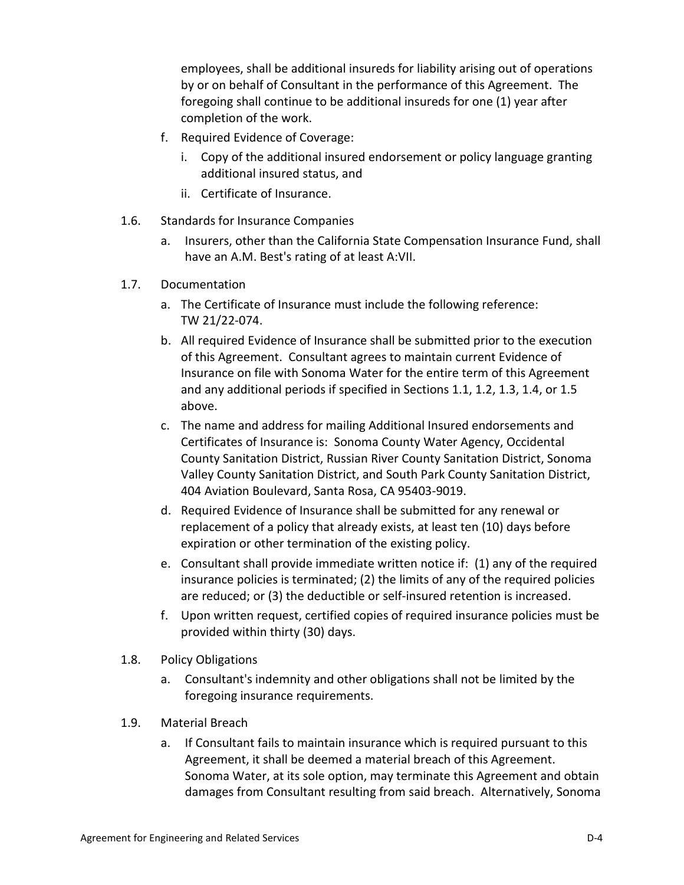employees, shall be additional insureds for liability arising out of operations by or on behalf of Consultant in the performance of this Agreement. The foregoing shall continue to be additional insureds for one (1) year after completion of the work.

- f. Required Evidence of Coverage:
	- i. Copy of the additional insured endorsement or policy language granting additional insured status, and
	- ii. Certificate of Insurance.
- 1.6. Standards for Insurance Companies
	- a. Insurers, other than the California State Compensation Insurance Fund, shall have an A.M. Best's rating of at least A:VII.
- 1.7. Documentation
	- a. The Certificate of Insurance must include the following reference: TW 21/22-074.
	- b. All required Evidence of Insurance shall be submitted prior to the execution of this Agreement. Consultant agrees to maintain current Evidence of Insurance on file with Sonoma Water for the entire term of this Agreement and any additional periods if specified in Section[s 1.1,](#page-27-0) [1.2,](#page-27-1) [1.3,](#page-28-0) [1.4,](#page-28-1) or [1.5](#page-29-0) above.
	- c. The name and address for mailing Additional Insured endorsements and Certificates of Insurance is: Sonoma County Water Agency, Occidental County Sanitation District, Russian River County Sanitation District, Sonoma Valley County Sanitation District, and South Park County Sanitation District, 404 Aviation Boulevard, Santa Rosa, CA 95403-9019.
	- d. Required Evidence of Insurance shall be submitted for any renewal or replacement of a policy that already exists, at least ten (10) days before expiration or other termination of the existing policy.
	- e. Consultant shall provide immediate written notice if: (1) any of the required insurance policies is terminated; (2) the limits of any of the required policies are reduced; or (3) the deductible or self-insured retention is increased.
	- f. Upon written request, certified copies of required insurance policies must be provided within thirty (30) days.
- 1.8. Policy Obligations
	- a. Consultant's indemnity and other obligations shall not be limited by the foregoing insurance requirements.
- 1.9. Material Breach
	- a. If Consultant fails to maintain insurance which is required pursuant to this Agreement, it shall be deemed a material breach of this Agreement. Sonoma Water, at its sole option, may terminate this Agreement and obtain damages from Consultant resulting from said breach. Alternatively, Sonoma